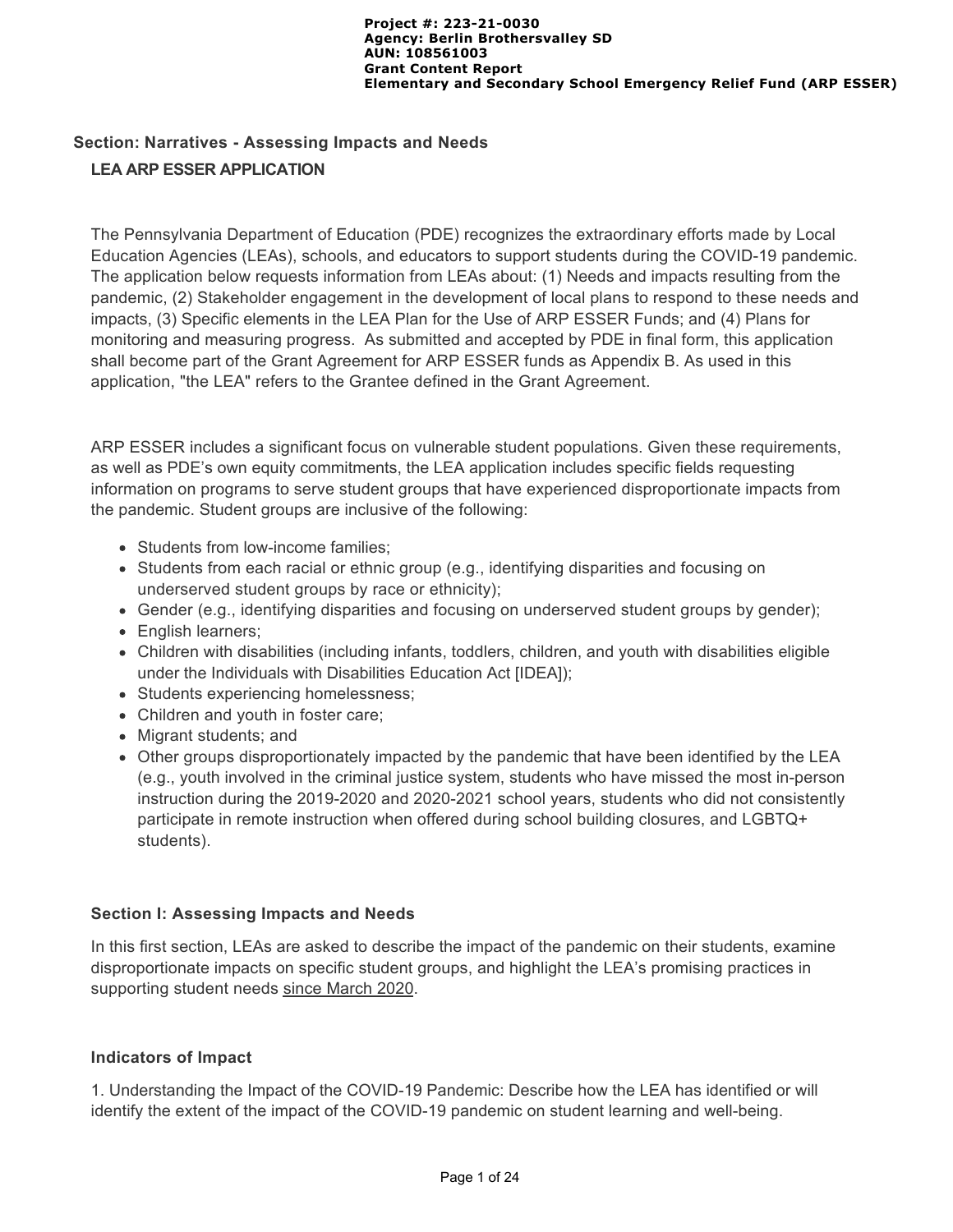# **Section: Narratives - Assessing Impacts and Needs LEA ARP ESSER APPLICATION**

The Pennsylvania Department of Education (PDE) recognizes the extraordinary efforts made by Local Education Agencies (LEAs), schools, and educators to support students during the COVID-19 pandemic. The application below requests information from LEAs about: (1) Needs and impacts resulting from the pandemic, (2) Stakeholder engagement in the development of local plans to respond to these needs and impacts, (3) Specific elements in the LEA Plan for the Use of ARP ESSER Funds; and (4) Plans for monitoring and measuring progress. As submitted and accepted by PDE in final form, this application shall become part of the Grant Agreement for ARP ESSER funds as Appendix B. As used in this application, "the LEA" refers to the Grantee defined in the Grant Agreement.

ARP ESSER includes a significant focus on vulnerable student populations. Given these requirements, as well as PDE's own equity commitments, the LEA application includes specific fields requesting information on programs to serve student groups that have experienced disproportionate impacts from the pandemic. Student groups are inclusive of the following:

- Students from low-income families;
- Students from each racial or ethnic group (e.g., identifying disparities and focusing on underserved student groups by race or ethnicity);
- Gender (e.g., identifying disparities and focusing on underserved student groups by gender);
- English learners;
- Children with disabilities (including infants, toddlers, children, and youth with disabilities eligible under the Individuals with Disabilities Education Act [IDEA]);
- Students experiencing homelessness;
- Children and youth in foster care;
- Migrant students; and
- Other groups disproportionately impacted by the pandemic that have been identified by the LEA (e.g., youth involved in the criminal justice system, students who have missed the most in-person instruction during the 2019-2020 and 2020-2021 school years, students who did not consistently participate in remote instruction when offered during school building closures, and LGBTQ+ students).

#### **Section I: Assessing Impacts and Needs**

In this first section, LEAs are asked to describe the impact of the pandemic on their students, examine disproportionate impacts on specific student groups, and highlight the LEA's promising practices in supporting student needs since March 2020.

## **Indicators of Impact**

1. Understanding the Impact of the COVID-19 Pandemic: Describe how the LEA has identified or will identify the extent of the impact of the COVID-19 pandemic on student learning and well-being.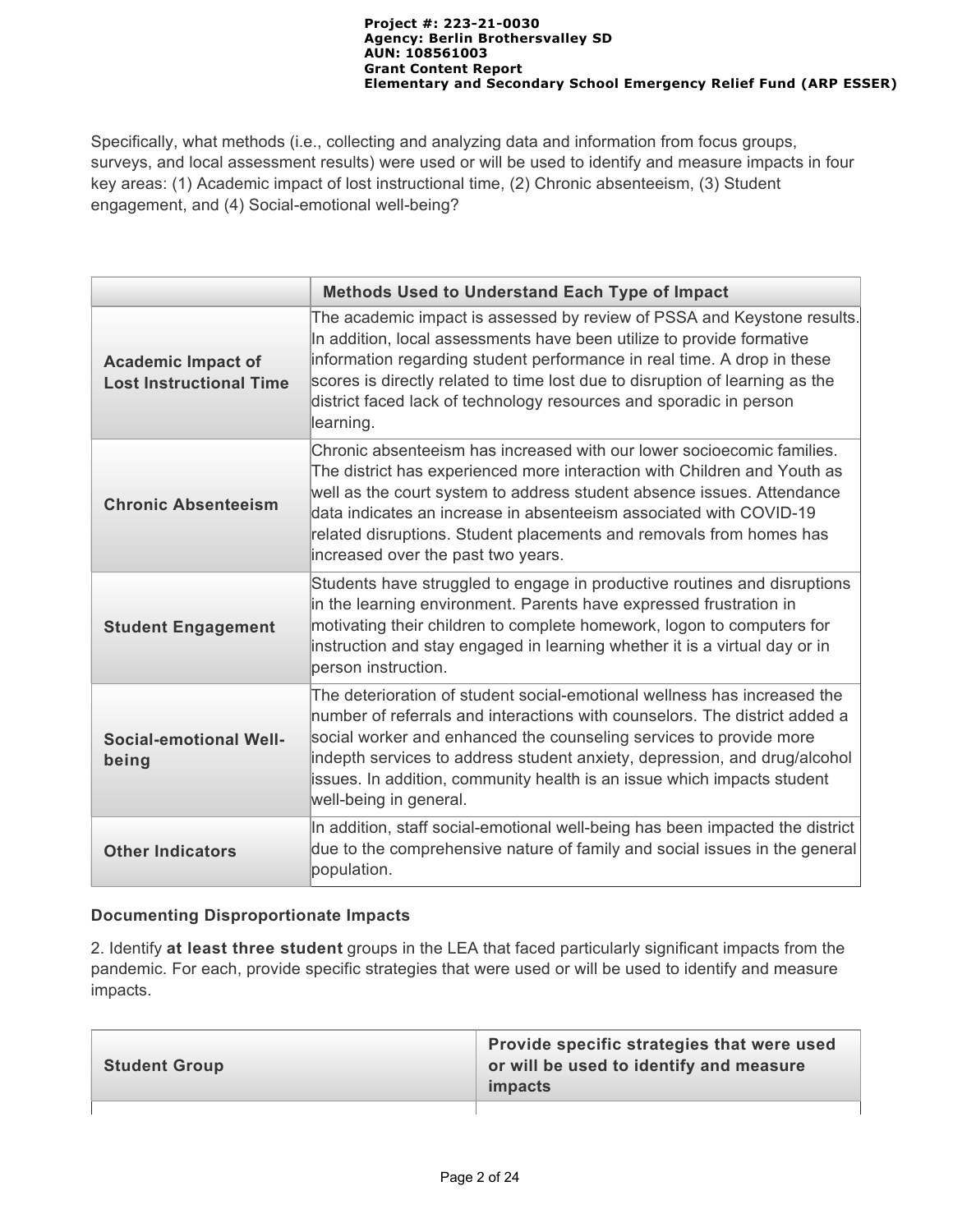Specifically, what methods (i.e., collecting and analyzing data and information from focus groups, surveys, and local assessment results) were used or will be used to identify and measure impacts in four key areas: (1) Academic impact of lost instructional time, (2) Chronic absenteeism, (3) Student engagement, and (4) Social-emotional well-being?

|                                                             | <b>Methods Used to Understand Each Type of Impact</b>                                                                                                                                                                                                                                                                                                                                                           |  |  |
|-------------------------------------------------------------|-----------------------------------------------------------------------------------------------------------------------------------------------------------------------------------------------------------------------------------------------------------------------------------------------------------------------------------------------------------------------------------------------------------------|--|--|
| <b>Academic Impact of</b><br><b>Lost Instructional Time</b> | The academic impact is assessed by review of PSSA and Keystone results.<br>In addition, local assessments have been utilize to provide formative<br>information regarding student performance in real time. A drop in these<br>scores is directly related to time lost due to disruption of learning as the<br>district faced lack of technology resources and sporadic in person<br>learning.                  |  |  |
| <b>Chronic Absenteeism</b>                                  | Chronic absenteeism has increased with our lower socioecomic families.<br>The district has experienced more interaction with Children and Youth as<br>well as the court system to address student absence issues. Attendance<br>data indicates an increase in absenteeism associated with COVID-19<br>related disruptions. Student placements and removals from homes has<br>increased over the past two years. |  |  |
| <b>Student Engagement</b>                                   | Students have struggled to engage in productive routines and disruptions<br>in the learning environment. Parents have expressed frustration in<br>motivating their children to complete homework, logon to computers for<br>instruction and stay engaged in learning whether it is a virtual day or in<br>person instruction.                                                                                   |  |  |
| <b>Social-emotional Well-</b><br>being                      | The deterioration of student social-emotional wellness has increased the<br>number of referrals and interactions with counselors. The district added a<br>social worker and enhanced the counseling services to provide more<br>indepth services to address student anxiety, depression, and drug/alcohol<br>issues. In addition, community health is an issue which impacts student<br>well-being in general.  |  |  |
| <b>Other Indicators</b>                                     | In addition, staff social-emotional well-being has been impacted the district<br>due to the comprehensive nature of family and social issues in the general<br>population.                                                                                                                                                                                                                                      |  |  |

## **Documenting Disproportionate Impacts**

2. Identify **at least three student** groups in the LEA that faced particularly significant impacts from the pandemic. For each, provide specific strategies that were used or will be used to identify and measure impacts.

| <b>Student Group</b> | Provide specific strategies that were used<br>or will be used to identify and measure<br><i>impacts</i> |
|----------------------|---------------------------------------------------------------------------------------------------------|
|                      |                                                                                                         |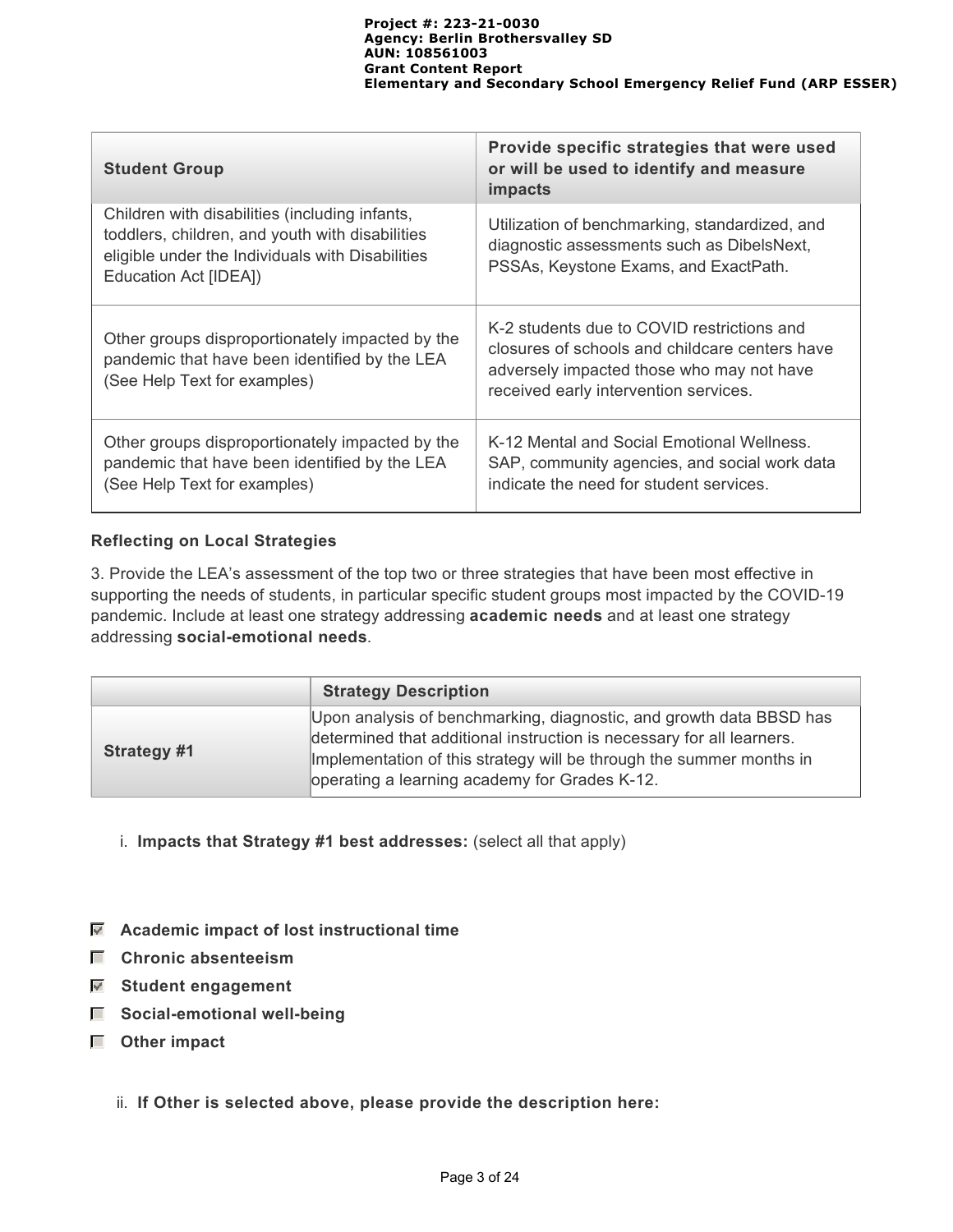| <b>Student Group</b>                                                                                                                                                           | Provide specific strategies that were used<br>or will be used to identify and measure<br><i>impacts</i>                                                                            |
|--------------------------------------------------------------------------------------------------------------------------------------------------------------------------------|------------------------------------------------------------------------------------------------------------------------------------------------------------------------------------|
| Children with disabilities (including infants,<br>toddlers, children, and youth with disabilities<br>eligible under the Individuals with Disabilities<br>Education Act [IDEA]) | Utilization of benchmarking, standardized, and<br>diagnostic assessments such as DibelsNext,<br>PSSAs, Keystone Exams, and ExactPath.                                              |
| Other groups disproportionately impacted by the<br>pandemic that have been identified by the LEA<br>(See Help Text for examples)                                               | K-2 students due to COVID restrictions and<br>closures of schools and childcare centers have<br>adversely impacted those who may not have<br>received early intervention services. |
| Other groups disproportionately impacted by the<br>pandemic that have been identified by the LEA<br>(See Help Text for examples)                                               | K-12 Mental and Social Emotional Wellness.<br>SAP, community agencies, and social work data<br>indicate the need for student services.                                             |

#### **Reflecting on Local Strategies**

3. Provide the LEA's assessment of the top two or three strategies that have been most effective in supporting the needs of students, in particular specific student groups most impacted by the COVID-19 pandemic. Include at least one strategy addressing **academic needs** and at least one strategy addressing **social-emotional needs**.

|                    | <b>Strategy Description</b>                                                                                                                                                                                                                                           |
|--------------------|-----------------------------------------------------------------------------------------------------------------------------------------------------------------------------------------------------------------------------------------------------------------------|
| <b>Strategy #1</b> | Upon analysis of benchmarking, diagnostic, and growth data BBSD has<br>determined that additional instruction is necessary for all learners.<br>Implementation of this strategy will be through the summer months in<br>operating a learning academy for Grades K-12. |

- i. **Impacts that Strategy #1 best addresses:** (select all that apply)
- **Academic impact of lost instructional time**
- **Chronic absenteeism**
- **Student engagement**
- $\Box$  Social-emotional well-being
- **Other impact**
	- ii. **If Other is selected above, please provide the description here:**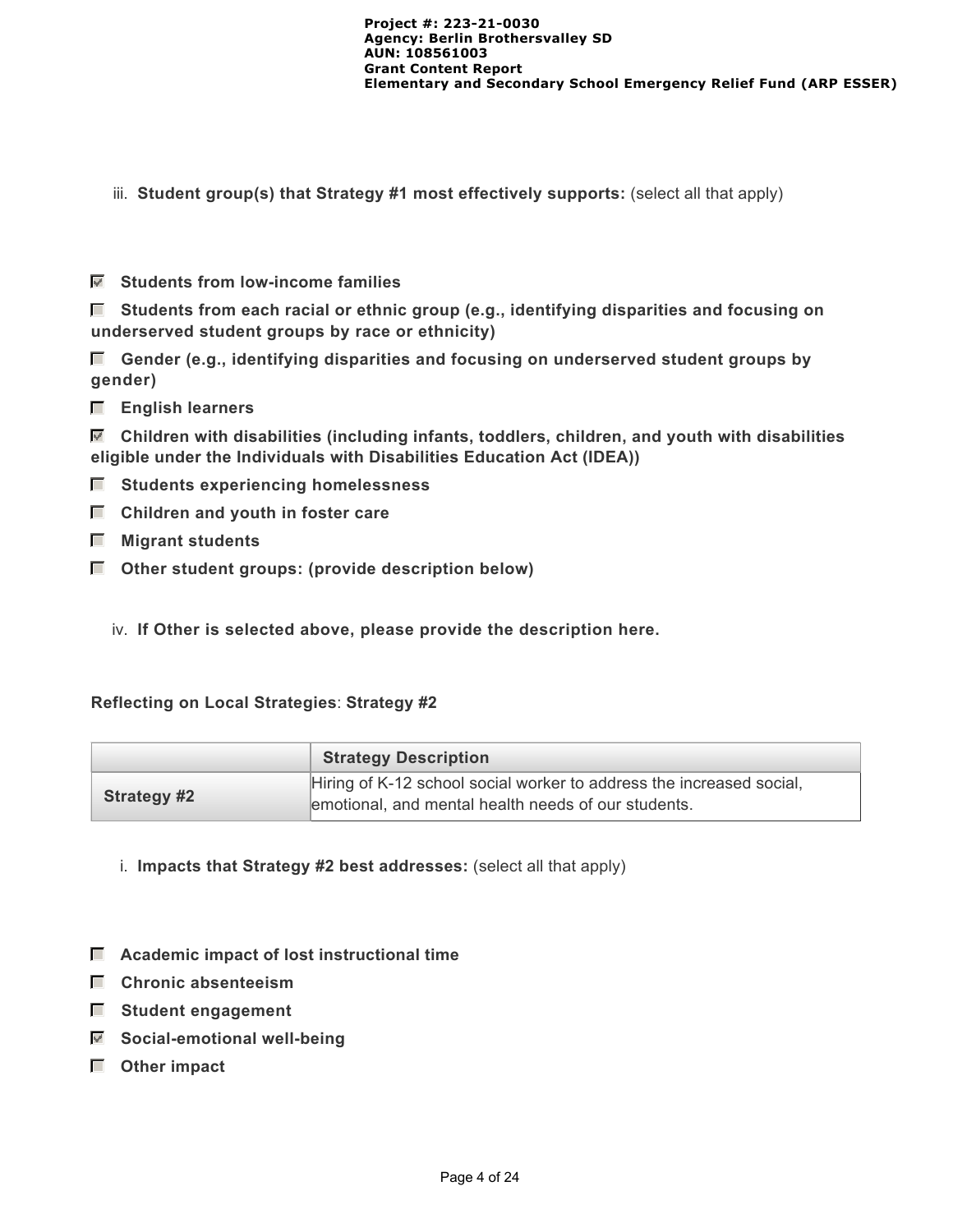- iii. **Student group(s) that Strategy #1 most effectively supports:** (select all that apply)
- **Students from low-income families**

 **Students from each racial or ethnic group (e.g., identifying disparities and focusing on underserved student groups by race or ethnicity)**

 **Gender (e.g., identifying disparities and focusing on underserved student groups by gender)**

 **English learners**

 **Children with disabilities (including infants, toddlers, children, and youth with disabilities eligible under the Individuals with Disabilities Education Act (IDEA))**

- $\blacksquare$  Students experiencing homelessness
- **E** Children and youth in foster care
- **Migrant students**
- $\Box$  Other student groups: (provide description below)
	- iv. **If Other is selected above, please provide the description here.**

#### **Reflecting on Local Strategies**: **Strategy #2**

|                    | <b>Strategy Description</b>                                                                                                 |
|--------------------|-----------------------------------------------------------------------------------------------------------------------------|
| <b>Strategy #2</b> | Hiring of K-12 school social worker to address the increased social,<br>emotional, and mental health needs of our students. |

- i. **Impacts that Strategy #2 best addresses:** (select all that apply)
- **Academic impact of lost instructional time**
- **Chronic absenteeism**
- **Student engagement**
- **Social-emotional well-being**
- **Other impact**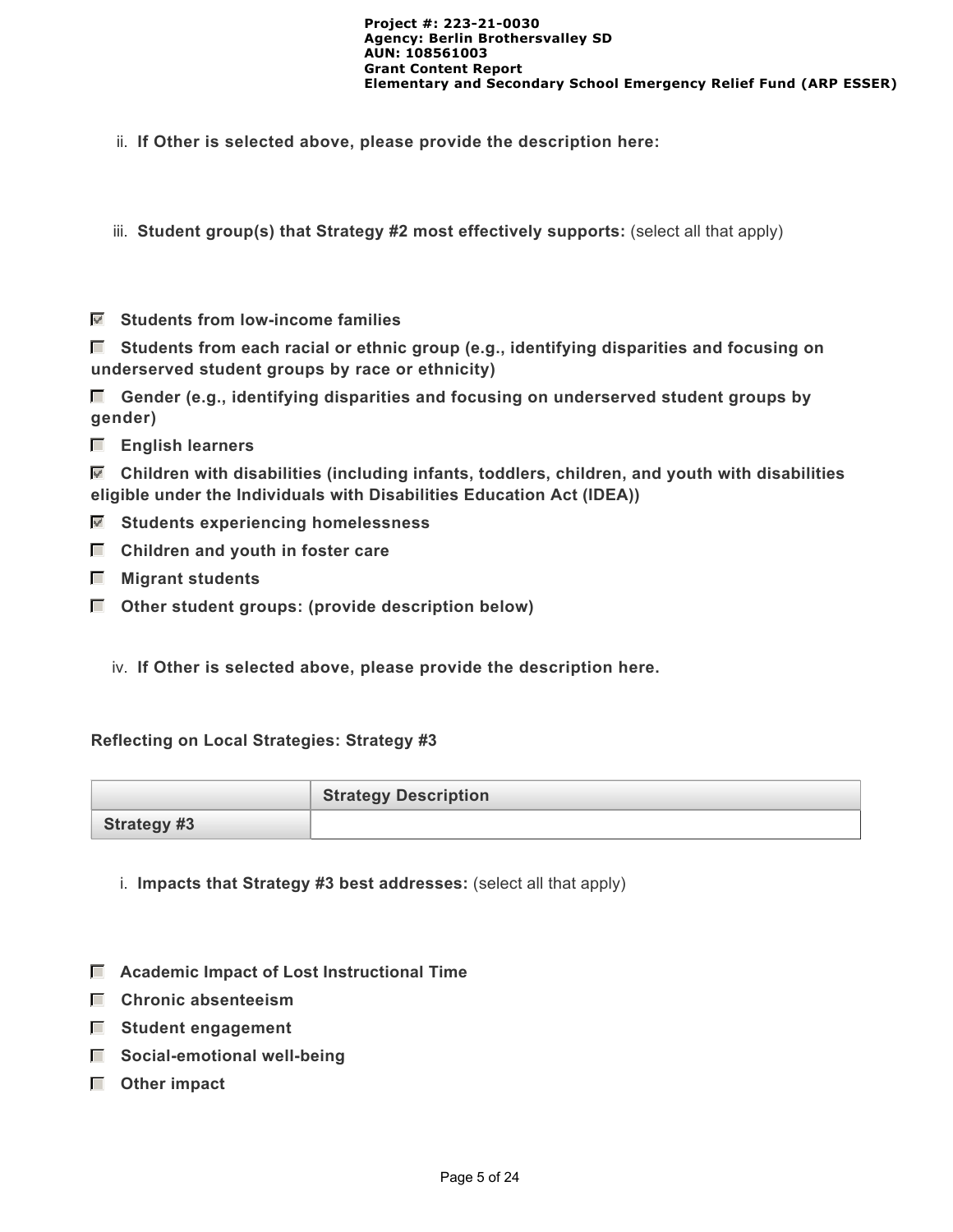ii. **If Other is selected above, please provide the description here:**

iii. Student group(s) that Strategy #2 most effectively supports: (select all that apply)

 **Students from low-income families**

 **Students from each racial or ethnic group (e.g., identifying disparities and focusing on underserved student groups by race or ethnicity)**

 **Gender (e.g., identifying disparities and focusing on underserved student groups by gender)**

 **English learners**

 **Children with disabilities (including infants, toddlers, children, and youth with disabilities eligible under the Individuals with Disabilities Education Act (IDEA))**

- **Students experiencing homelessness**
- $\Box$  Children and youth in foster care
- **Migrant students**
- **Other student groups: (provide description below)**
	- iv. **If Other is selected above, please provide the description here.**

#### **Reflecting on Local Strategies: Strategy #3**

|                    | <b>Strategy Description</b> |
|--------------------|-----------------------------|
| <b>Strategy #3</b> |                             |

- i. **Impacts that Strategy #3 best addresses:** (select all that apply)
- **Academic Impact of Lost Instructional Time**
- **Chronic absenteeism**
- **Student engagement**
- $\Box$  Social-emotional well-being
- **Other impact**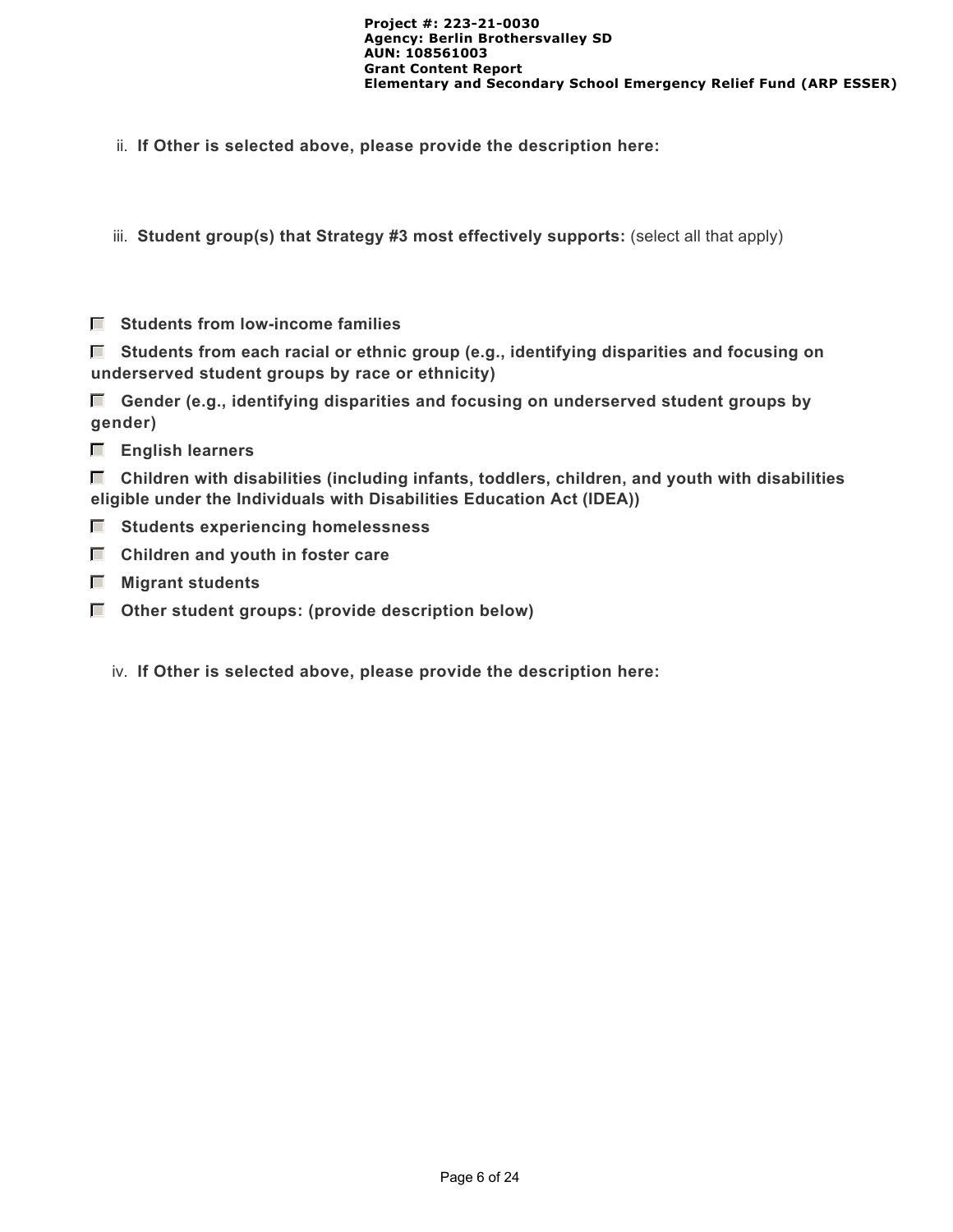ii. **If Other is selected above, please provide the description here:**

iii. **Student group(s) that Strategy #3 most effectively supports:** (select all that apply)

 **Students from low-income families**

 **Students from each racial or ethnic group (e.g., identifying disparities and focusing on underserved student groups by race or ethnicity)**

 **Gender (e.g., identifying disparities and focusing on underserved student groups by gender)**

 **English learners**

 **Children with disabilities (including infants, toddlers, children, and youth with disabilities eligible under the Individuals with Disabilities Education Act (IDEA))**

- $\blacksquare$  Students experiencing homelessness
- $\Box$  Children and youth in foster care
- **Migrant students**
- $\Box$  Other student groups: (provide description below)
	- iv. **If Other is selected above, please provide the description here:**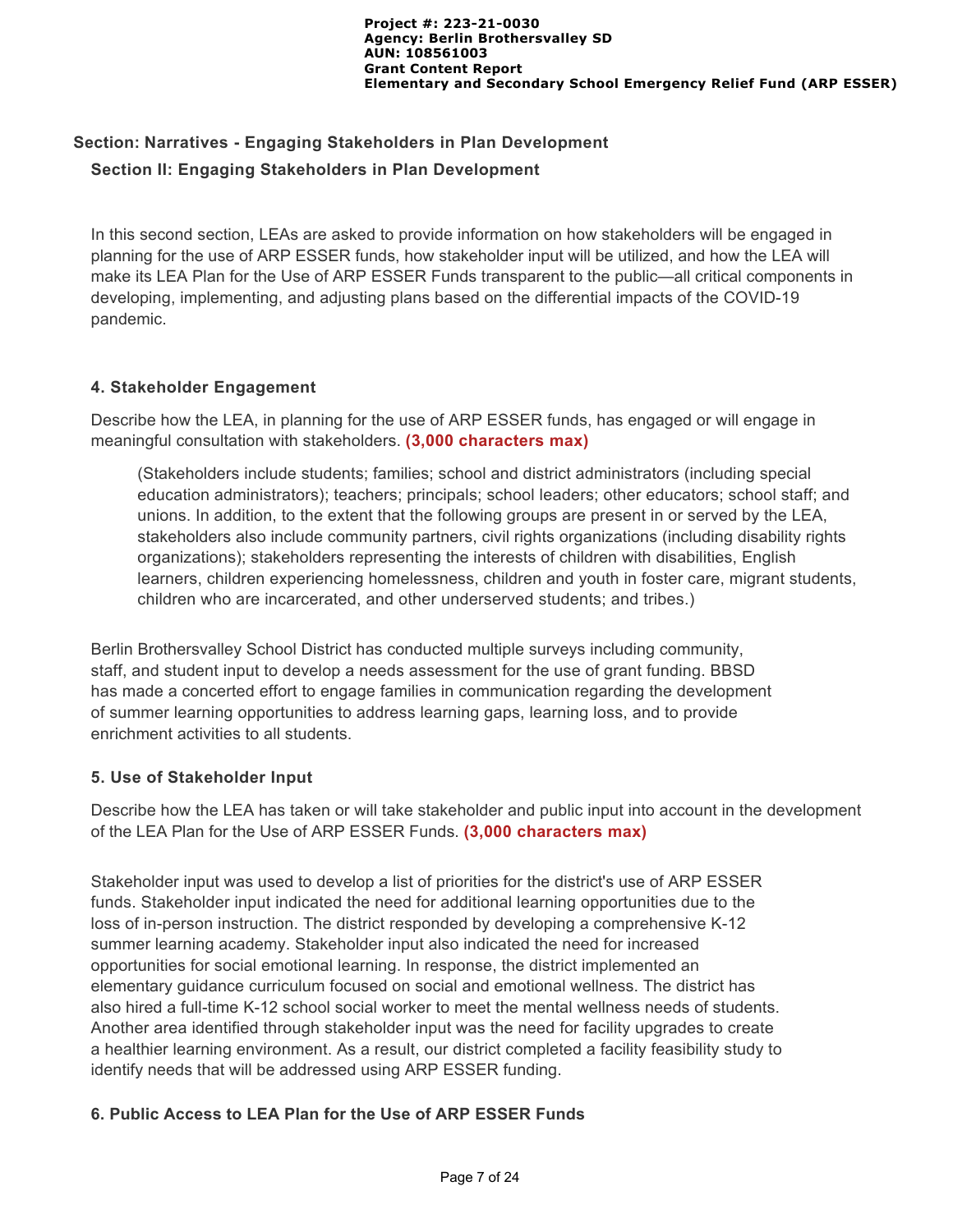# **Section: Narratives - Engaging Stakeholders in Plan Development Section II: Engaging Stakeholders in Plan Development**

In this second section, LEAs are asked to provide information on how stakeholders will be engaged in planning for the use of ARP ESSER funds, how stakeholder input will be utilized, and how the LEA will make its LEA Plan for the Use of ARP ESSER Funds transparent to the public—all critical components in developing, implementing, and adjusting plans based on the differential impacts of the COVID-19 pandemic.

## **4. Stakeholder Engagement**

Describe how the LEA, in planning for the use of ARP ESSER funds, has engaged or will engage in meaningful consultation with stakeholders. **(3,000 characters max)**

(Stakeholders include students; families; school and district administrators (including special education administrators); teachers; principals; school leaders; other educators; school staff; and unions. In addition, to the extent that the following groups are present in or served by the LEA, stakeholders also include community partners, civil rights organizations (including disability rights organizations); stakeholders representing the interests of children with disabilities, English learners, children experiencing homelessness, children and youth in foster care, migrant students, children who are incarcerated, and other underserved students; and tribes.)

Berlin Brothersvalley School District has conducted multiple surveys including community, staff, and student input to develop a needs assessment for the use of grant funding. BBSD has made a concerted effort to engage families in communication regarding the development of summer learning opportunities to address learning gaps, learning loss, and to provide enrichment activities to all students.

## **5. Use of Stakeholder Input**

Describe how the LEA has taken or will take stakeholder and public input into account in the development of the LEA Plan for the Use of ARP ESSER Funds. **(3,000 characters max)**

Stakeholder input was used to develop a list of priorities for the district's use of ARP ESSER funds. Stakeholder input indicated the need for additional learning opportunities due to the loss of in-person instruction. The district responded by developing a comprehensive K-12 summer learning academy. Stakeholder input also indicated the need for increased opportunities for social emotional learning. In response, the district implemented an elementary guidance curriculum focused on social and emotional wellness. The district has also hired a full-time K-12 school social worker to meet the mental wellness needs of students. Another area identified through stakeholder input was the need for facility upgrades to create a healthier learning environment. As a result, our district completed a facility feasibility study to identify needs that will be addressed using ARP ESSER funding.

## **6. Public Access to LEA Plan for the Use of ARP ESSER Funds**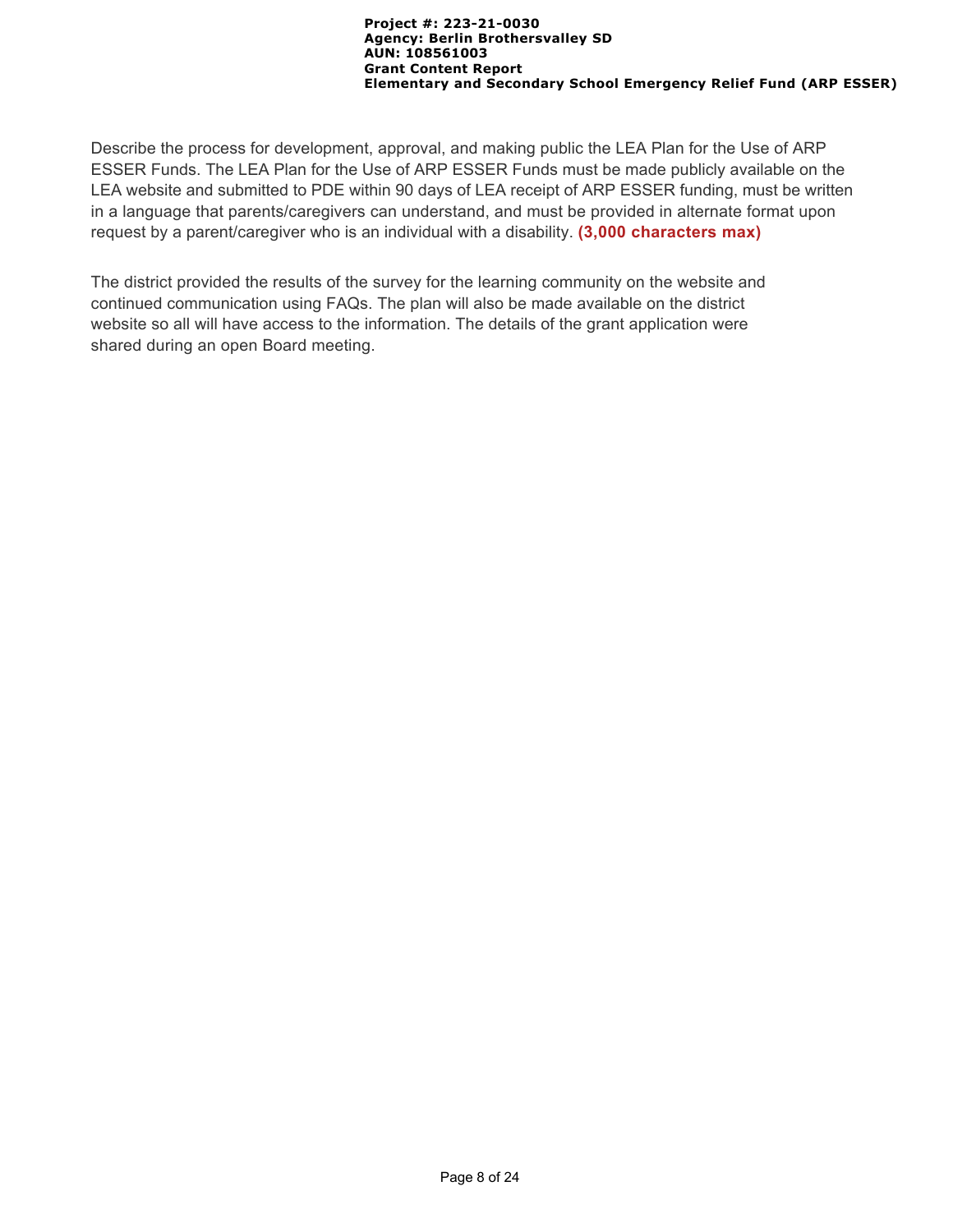Describe the process for development, approval, and making public the LEA Plan for the Use of ARP ESSER Funds. The LEA Plan for the Use of ARP ESSER Funds must be made publicly available on the LEA website and submitted to PDE within 90 days of LEA receipt of ARP ESSER funding, must be written in a language that parents/caregivers can understand, and must be provided in alternate format upon request by a parent/caregiver who is an individual with a disability. **(3,000 characters max)**

The district provided the results of the survey for the learning community on the website and continued communication using FAQs. The plan will also be made available on the district website so all will have access to the information. The details of the grant application were shared during an open Board meeting.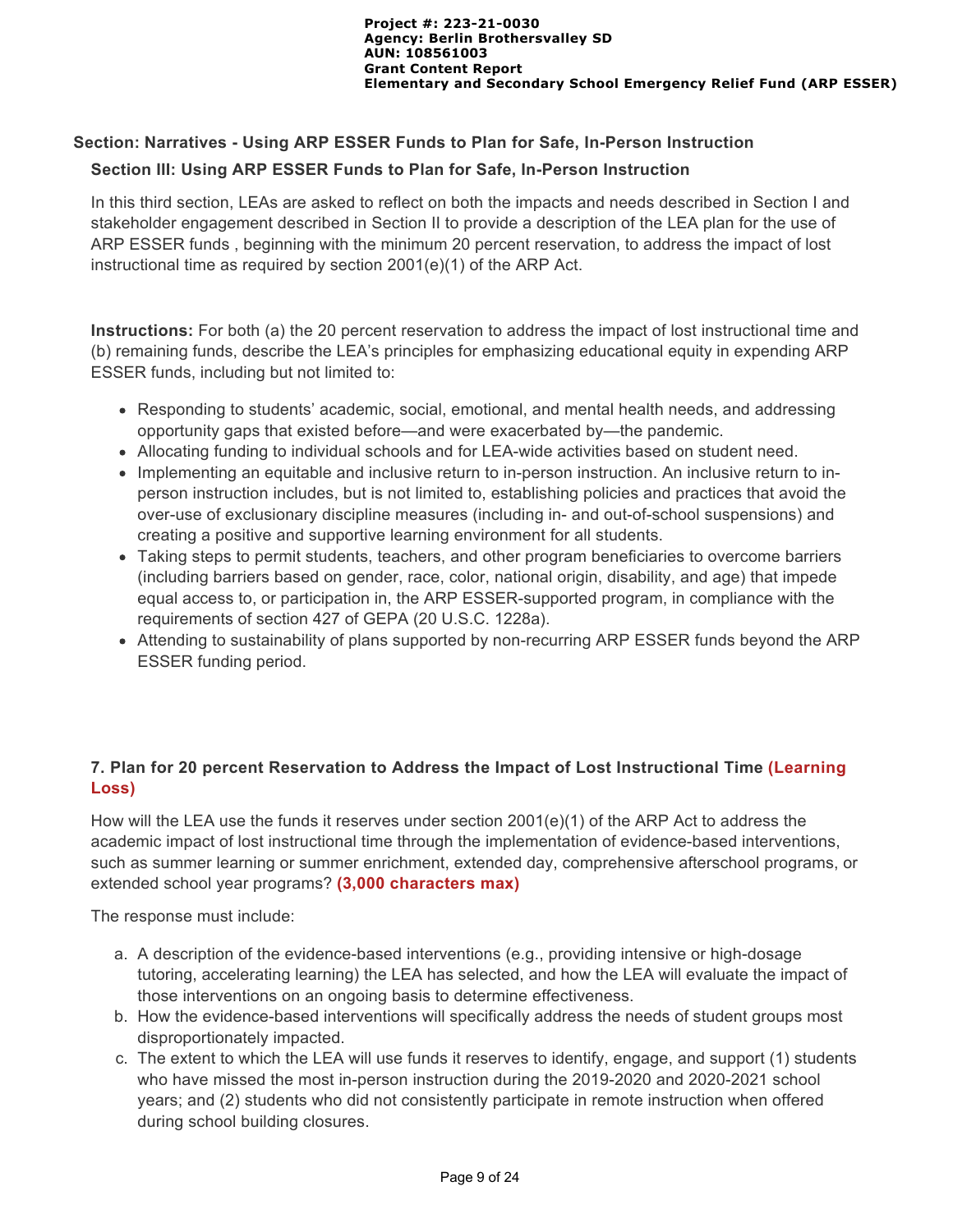# **Section: Narratives - Using ARP ESSER Funds to Plan for Safe, In-Person Instruction**

#### **Section III: Using ARP ESSER Funds to Plan for Safe, In-Person Instruction**

In this third section, LEAs are asked to reflect on both the impacts and needs described in Section I and stakeholder engagement described in Section II to provide a description of the LEA plan for the use of ARP ESSER funds , beginning with the minimum 20 percent reservation, to address the impact of lost instructional time as required by section 2001(e)(1) of the ARP Act.

**Instructions:** For both (a) the 20 percent reservation to address the impact of lost instructional time and (b) remaining funds, describe the LEA's principles for emphasizing educational equity in expending ARP ESSER funds, including but not limited to:

- Responding to students' academic, social, emotional, and mental health needs, and addressing opportunity gaps that existed before—and were exacerbated by—the pandemic.
- Allocating funding to individual schools and for LEA-wide activities based on student need.
- Implementing an equitable and inclusive return to in-person instruction. An inclusive return to inperson instruction includes, but is not limited to, establishing policies and practices that avoid the over-use of exclusionary discipline measures (including in- and out-of-school suspensions) and creating a positive and supportive learning environment for all students.
- Taking steps to permit students, teachers, and other program beneficiaries to overcome barriers (including barriers based on gender, race, color, national origin, disability, and age) that impede equal access to, or participation in, the ARP ESSER-supported program, in compliance with the requirements of section 427 of GEPA (20 U.S.C. 1228a).
- Attending to sustainability of plans supported by non-recurring ARP ESSER funds beyond the ARP ESSER funding period.

# **7. Plan for 20 percent Reservation to Address the Impact of Lost Instructional Time (Learning Loss)**

How will the LEA use the funds it reserves under section 2001(e)(1) of the ARP Act to address the academic impact of lost instructional time through the implementation of evidence-based interventions, such as summer learning or summer enrichment, extended day, comprehensive afterschool programs, or extended school year programs? **(3,000 characters max)** 

The response must include:

- a. A description of the evidence-based interventions (e.g., providing intensive or high-dosage tutoring, accelerating learning) the LEA has selected, and how the LEA will evaluate the impact of those interventions on an ongoing basis to determine effectiveness.
- b. How the evidence-based interventions will specifically address the needs of student groups most disproportionately impacted.
- c. The extent to which the LEA will use funds it reserves to identify, engage, and support (1) students who have missed the most in-person instruction during the 2019-2020 and 2020-2021 school years; and (2) students who did not consistently participate in remote instruction when offered during school building closures.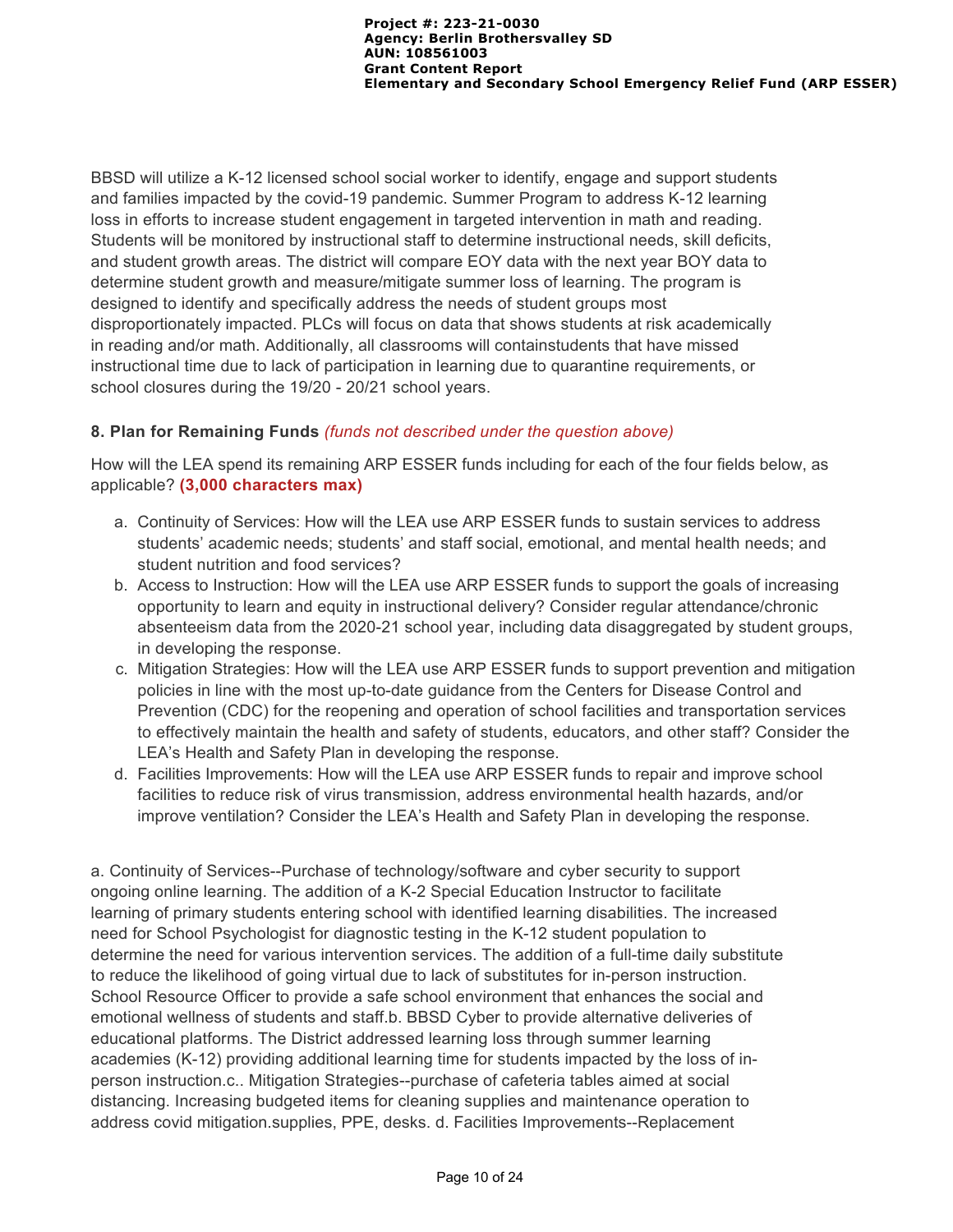BBSD will utilize a K-12 licensed school social worker to identify, engage and support students and families impacted by the covid-19 pandemic. Summer Program to address K-12 learning loss in efforts to increase student engagement in targeted intervention in math and reading. Students will be monitored by instructional staff to determine instructional needs, skill deficits, and student growth areas. The district will compare EOY data with the next year BOY data to determine student growth and measure/mitigate summer loss of learning. The program is designed to identify and specifically address the needs of student groups most disproportionately impacted. PLCs will focus on data that shows students at risk academically in reading and/or math. Additionally, all classrooms will containstudents that have missed instructional time due to lack of participation in learning due to quarantine requirements, or school closures during the 19/20 - 20/21 school years.

## **8. Plan for Remaining Funds** *(funds not described under the question above)*

How will the LEA spend its remaining ARP ESSER funds including for each of the four fields below, as applicable? **(3,000 characters max)**

- a. Continuity of Services: How will the LEA use ARP ESSER funds to sustain services to address students' academic needs; students' and staff social, emotional, and mental health needs; and student nutrition and food services?
- b. Access to Instruction: How will the LEA use ARP ESSER funds to support the goals of increasing opportunity to learn and equity in instructional delivery? Consider regular attendance/chronic absenteeism data from the 2020-21 school year, including data disaggregated by student groups, in developing the response.
- c. Mitigation Strategies: How will the LEA use ARP ESSER funds to support prevention and mitigation policies in line with the most up-to-date guidance from the Centers for Disease Control and Prevention (CDC) for the reopening and operation of school facilities and transportation services to effectively maintain the health and safety of students, educators, and other staff? Consider the LEA's Health and Safety Plan in developing the response.
- d. Facilities Improvements: How will the LEA use ARP ESSER funds to repair and improve school facilities to reduce risk of virus transmission, address environmental health hazards, and/or improve ventilation? Consider the LEA's Health and Safety Plan in developing the response.

a. Continuity of Services--Purchase of technology/software and cyber security to support ongoing online learning. The addition of a K-2 Special Education Instructor to facilitate learning of primary students entering school with identified learning disabilities. The increased need for School Psychologist for diagnostic testing in the K-12 student population to determine the need for various intervention services. The addition of a full-time daily substitute to reduce the likelihood of going virtual due to lack of substitutes for in-person instruction. School Resource Officer to provide a safe school environment that enhances the social and emotional wellness of students and staff.b. BBSD Cyber to provide alternative deliveries of educational platforms. The District addressed learning loss through summer learning academies (K-12) providing additional learning time for students impacted by the loss of inperson instruction.c.. Mitigation Strategies--purchase of cafeteria tables aimed at social distancing. Increasing budgeted items for cleaning supplies and maintenance operation to address covid mitigation.supplies, PPE, desks. d. Facilities Improvements--Replacement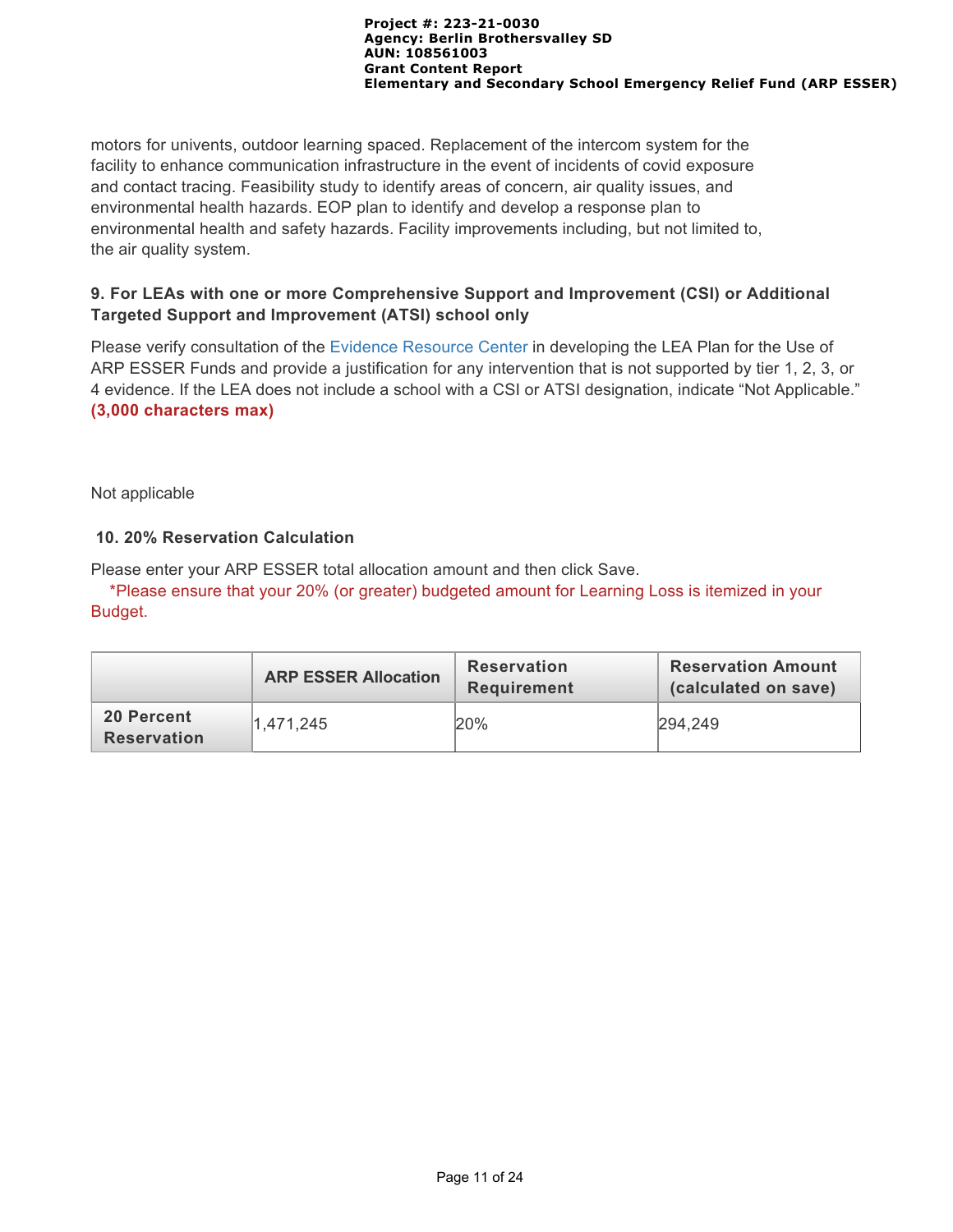motors for univents, outdoor learning spaced. Replacement of the intercom system for the facility to enhance communication infrastructure in the event of incidents of covid exposure and contact tracing. Feasibility study to identify areas of concern, air quality issues, and environmental health hazards. EOP plan to identify and develop a response plan to environmental health and safety hazards. Facility improvements including, but not limited to, the air quality system.

## **9. For LEAs with one or more Comprehensive Support and Improvement (CSI) or Additional Targeted Support and Improvement (ATSI) school only**

Please verify consultation of the [Evidence Resource Center](https://www.evidenceforpa.org/) in developing the LEA Plan for the Use of ARP ESSER Funds and provide a justification for any intervention that is not supported by tier 1, 2, 3, or 4 evidence. If the LEA does not include a school with a CSI or ATSI designation, indicate "Not Applicable." **(3,000 characters max)**

Not applicable

# **10. 20% Reservation Calculation**

Please enter your ARP ESSER total allocation amount and then click Save.

 \*Please ensure that your 20% (or greater) budgeted amount for Learning Loss is itemized in your Budget.

|                           | <b>ARP ESSER Allocation</b> | <b>Reservation</b><br><b>Requirement</b> | <b>Reservation Amount</b><br>(calculated on save) |
|---------------------------|-----------------------------|------------------------------------------|---------------------------------------------------|
| 20 Percent<br>Reservation | 1.471.245                   | 20%                                      | 294,249                                           |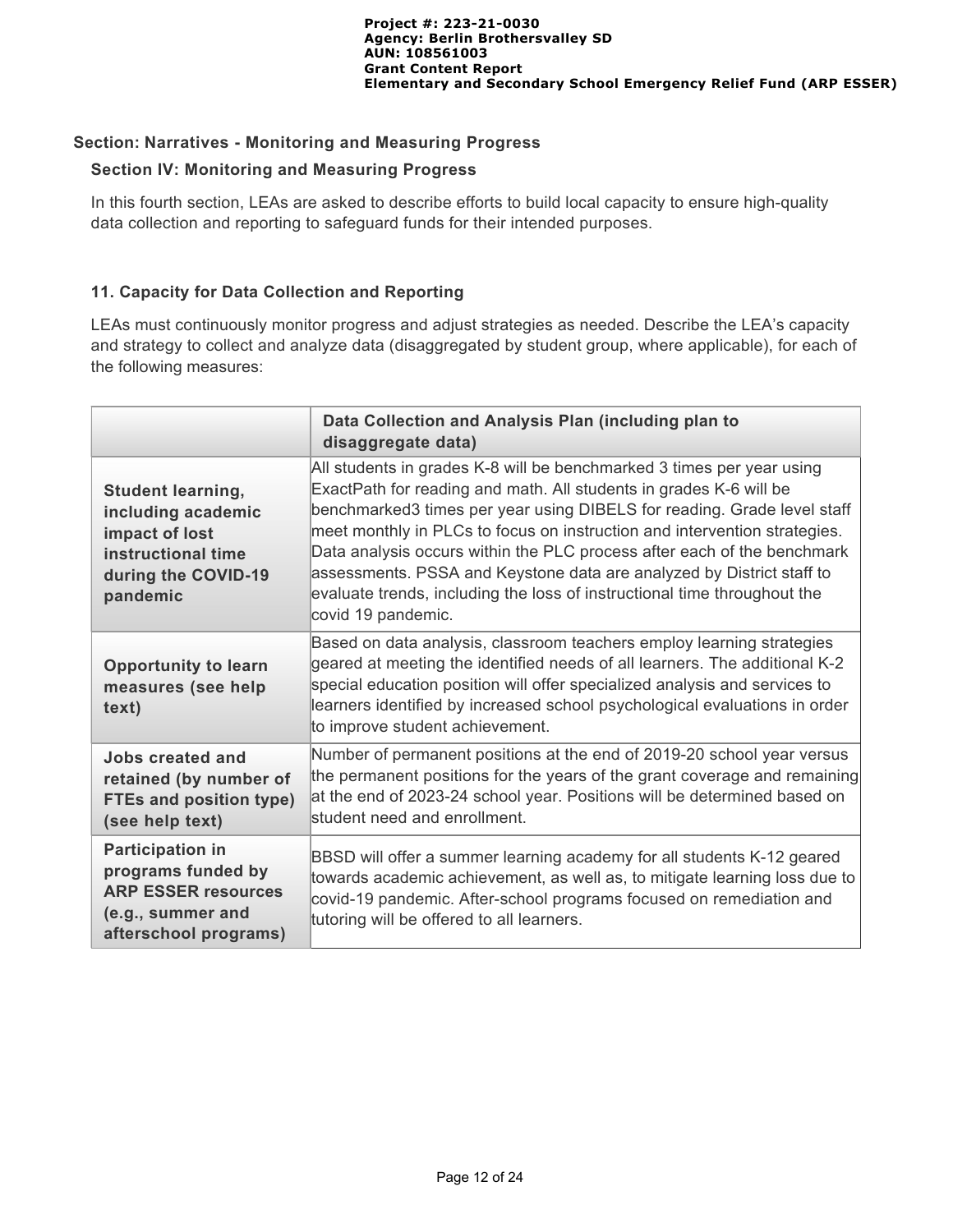# **Section: Narratives - Monitoring and Measuring Progress**

## **Section IV: Monitoring and Measuring Progress**

In this fourth section, LEAs are asked to describe efforts to build local capacity to ensure high-quality data collection and reporting to safeguard funds for their intended purposes.

# **11. Capacity for Data Collection and Reporting**

LEAs must continuously monitor progress and adjust strategies as needed. Describe the LEA's capacity and strategy to collect and analyze data (disaggregated by student group, where applicable), for each of the following measures:

|                                                                                                                           | Data Collection and Analysis Plan (including plan to<br>disaggregate data)                                                                                                                                                                                                                                                                                                                                                                                                                                                                                |
|---------------------------------------------------------------------------------------------------------------------------|-----------------------------------------------------------------------------------------------------------------------------------------------------------------------------------------------------------------------------------------------------------------------------------------------------------------------------------------------------------------------------------------------------------------------------------------------------------------------------------------------------------------------------------------------------------|
| <b>Student learning,</b><br>including academic<br>impact of lost<br>instructional time<br>during the COVID-19<br>pandemic | All students in grades K-8 will be benchmarked 3 times per year using<br>ExactPath for reading and math. All students in grades K-6 will be<br>benchmarked3 times per year using DIBELS for reading. Grade level staff<br>meet monthly in PLCs to focus on instruction and intervention strategies.<br>Data analysis occurs within the PLC process after each of the benchmark<br>assessments. PSSA and Keystone data are analyzed by District staff to<br>evaluate trends, including the loss of instructional time throughout the<br>covid 19 pandemic. |
| <b>Opportunity to learn</b><br>measures (see help<br>text)                                                                | Based on data analysis, classroom teachers employ learning strategies<br>geared at meeting the identified needs of all learners. The additional K-2<br>special education position will offer specialized analysis and services to<br>learners identified by increased school psychological evaluations in order<br>to improve student achievement.                                                                                                                                                                                                        |
| Jobs created and<br>retained (by number of<br><b>FTEs and position type)</b><br>(see help text)                           | Number of permanent positions at the end of 2019-20 school year versus<br>the permanent positions for the years of the grant coverage and remaining<br>at the end of 2023-24 school year. Positions will be determined based on<br>student need and enrollment.                                                                                                                                                                                                                                                                                           |
| <b>Participation in</b><br>programs funded by<br><b>ARP ESSER resources</b><br>(e.g., summer and<br>afterschool programs) | BBSD will offer a summer learning academy for all students K-12 geared<br>towards academic achievement, as well as, to mitigate learning loss due to<br>covid-19 pandemic. After-school programs focused on remediation and<br>tutoring will be offered to all learners.                                                                                                                                                                                                                                                                                  |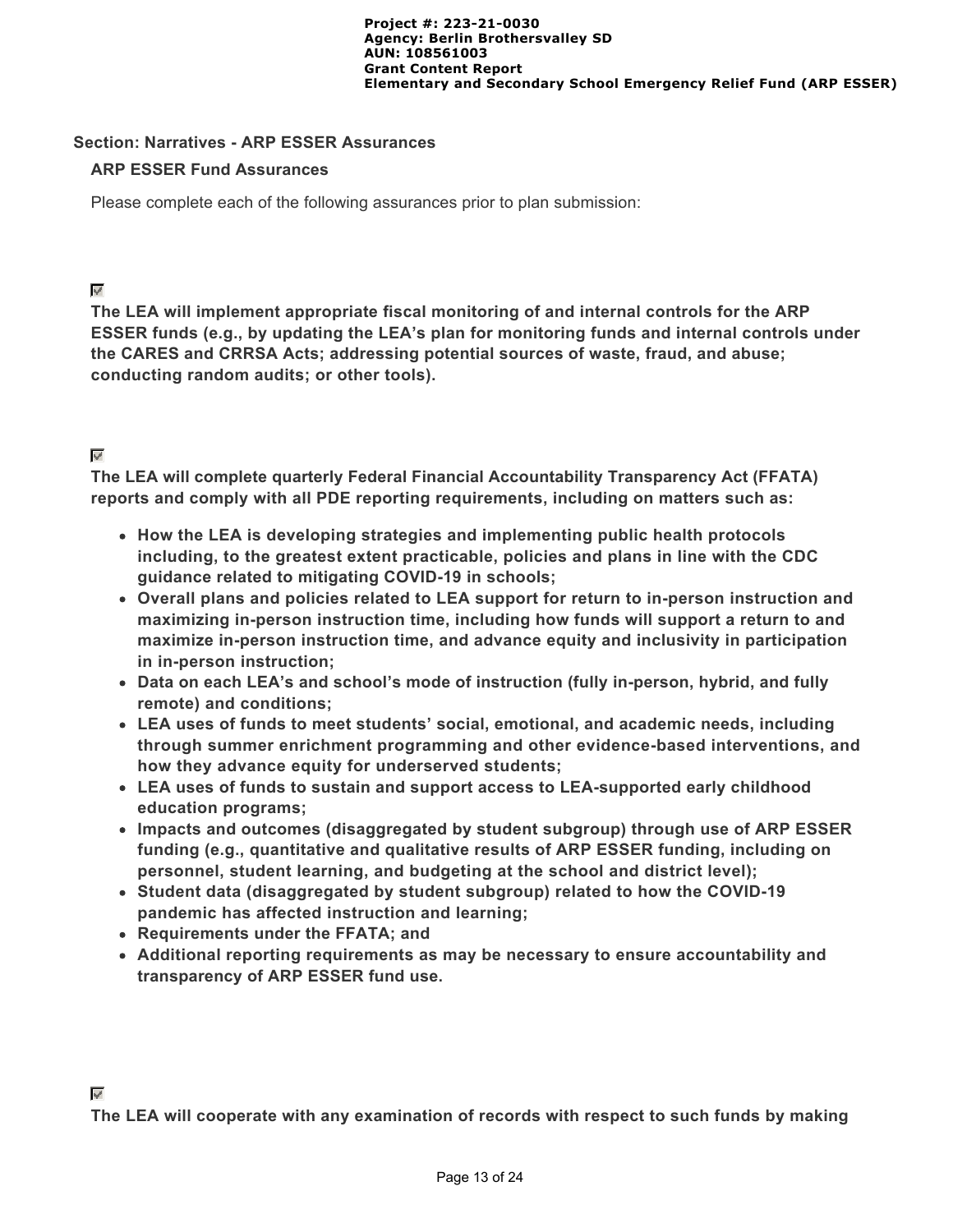#### **Section: Narratives - ARP ESSER Assurances**

#### **ARP ESSER Fund Assurances**

Please complete each of the following assurances prior to plan submission:

⊽

**The LEA will implement appropriate fiscal monitoring of and internal controls for the ARP ESSER funds (e.g., by updating the LEA's plan for monitoring funds and internal controls under the CARES and CRRSA Acts; addressing potential sources of waste, fraud, and abuse; conducting random audits; or other tools).**

#### $\mathbf{w}^{\mathbf{r}}$

**The LEA will complete quarterly Federal Financial Accountability Transparency Act (FFATA) reports and comply with all PDE reporting requirements, including on matters such as:**

- **How the LEA is developing strategies and implementing public health protocols including, to the greatest extent practicable, policies and plans in line with the CDC guidance related to mitigating COVID-19 in schools;**
- **Overall plans and policies related to LEA support for return to in-person instruction and maximizing in-person instruction time, including how funds will support a return to and maximize in-person instruction time, and advance equity and inclusivity in participation in in-person instruction;**
- **Data on each LEA's and school's mode of instruction (fully in-person, hybrid, and fully remote) and conditions;**
- **LEA uses of funds to meet students' social, emotional, and academic needs, including through summer enrichment programming and other evidence-based interventions, and how they advance equity for underserved students;**
- **LEA uses of funds to sustain and support access to LEA-supported early childhood education programs;**
- **Impacts and outcomes (disaggregated by student subgroup) through use of ARP ESSER funding (e.g., quantitative and qualitative results of ARP ESSER funding, including on personnel, student learning, and budgeting at the school and district level);**
- **Student data (disaggregated by student subgroup) related to how the COVID-19 pandemic has affected instruction and learning;**
- **Requirements under the FFATA; and**
- **Additional reporting requirements as may be necessary to ensure accountability and transparency of ARP ESSER fund use.**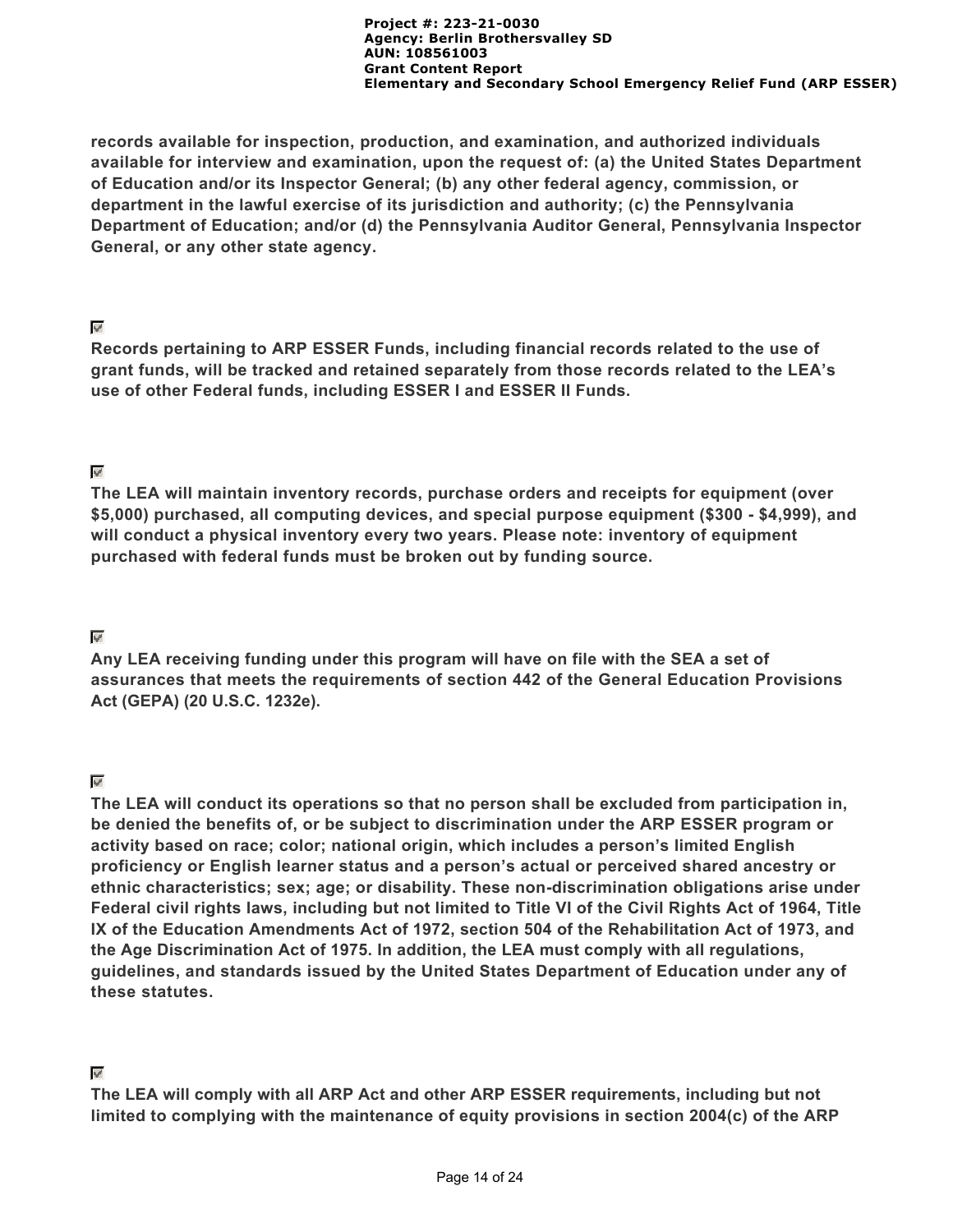**records available for inspection, production, and examination, and authorized individuals available for interview and examination, upon the request of: (a) the United States Department of Education and/or its Inspector General; (b) any other federal agency, commission, or department in the lawful exercise of its jurisdiction and authority; (c) the Pennsylvania Department of Education; and/or (d) the Pennsylvania Auditor General, Pennsylvania Inspector General, or any other state agency.**

#### ⊽

**Records pertaining to ARP ESSER Funds, including financial records related to the use of grant funds, will be tracked and retained separately from those records related to the LEA's use of other Federal funds, including ESSER I and ESSER II Funds.**

# $\mathbf{w}^{\mathbf{r}}$

**The LEA will maintain inventory records, purchase orders and receipts for equipment (over \$5,000) purchased, all computing devices, and special purpose equipment (\$300 - \$4,999), and will conduct a physical inventory every two years. Please note: inventory of equipment purchased with federal funds must be broken out by funding source.**

# $\overline{\mathcal{L}}$

**Any LEA receiving funding under this program will have on file with the SEA a set of assurances that meets the requirements of section 442 of the General Education Provisions Act (GEPA) (20 U.S.C. 1232e).**

# $\mathbf{w}^{\mathbf{p}}$

**The LEA will conduct its operations so that no person shall be excluded from participation in, be denied the benefits of, or be subject to discrimination under the ARP ESSER program or activity based on race; color; national origin, which includes a person's limited English proficiency or English learner status and a person's actual or perceived shared ancestry or ethnic characteristics; sex; age; or disability. These non-discrimination obligations arise under Federal civil rights laws, including but not limited to Title VI of the Civil Rights Act of 1964, Title IX of the Education Amendments Act of 1972, section 504 of the Rehabilitation Act of 1973, and the Age Discrimination Act of 1975. In addition, the LEA must comply with all regulations, guidelines, and standards issued by the United States Department of Education under any of these statutes.**

## $\mathbf{v}^{\prime}$

**The LEA will comply with all ARP Act and other ARP ESSER requirements, including but not limited to complying with the maintenance of equity provisions in section 2004(c) of the ARP**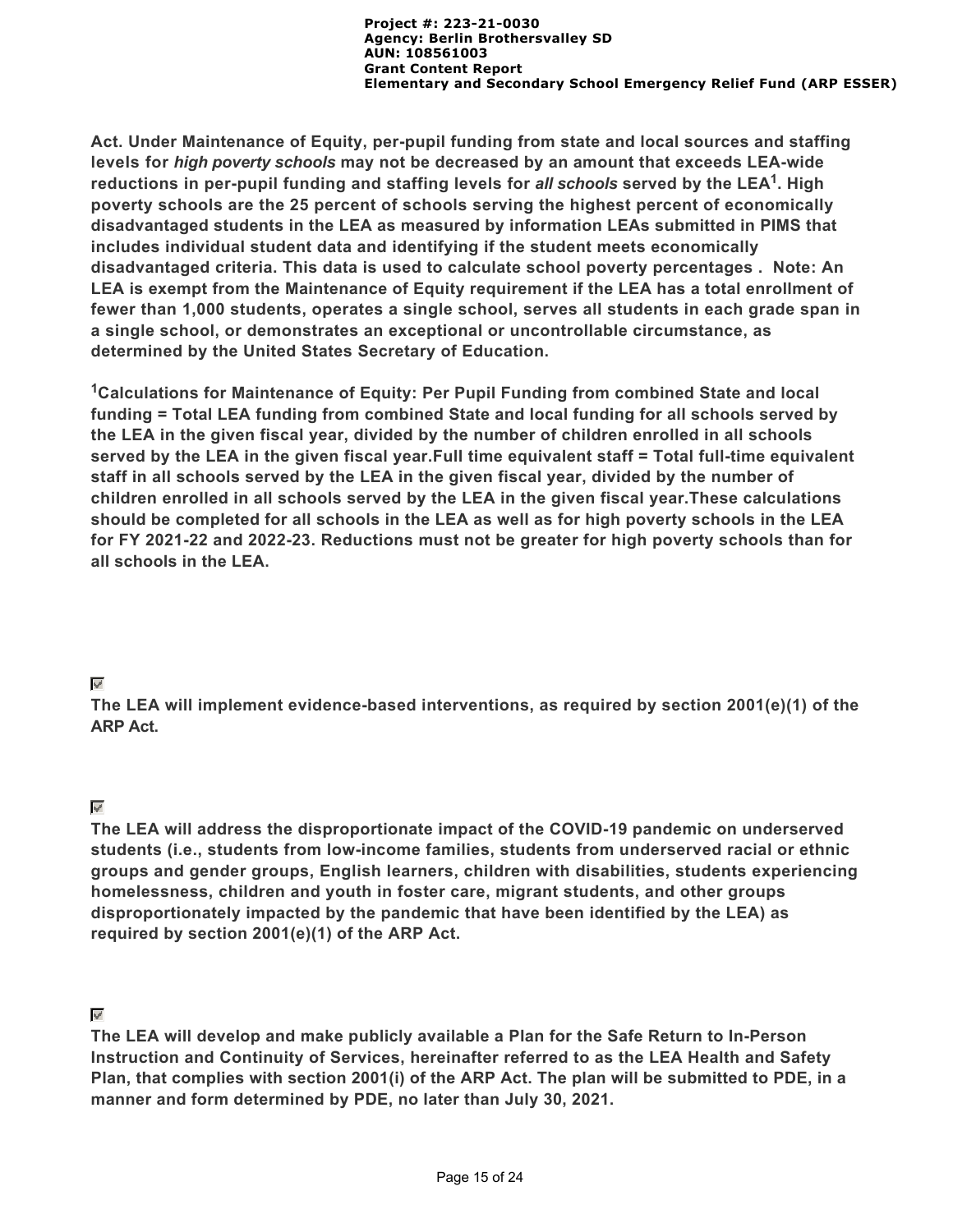**Act. Under Maintenance of Equity, per-pupil funding from state and local sources and staffing levels for** *high poverty schools* **may not be decreased by an amount that exceeds LEA-wide** reductions in per-pupil funding and staffing levels for *all schools* served by the LEA<sup>1</sup>. High **poverty schools are the 25 percent of schools serving the highest percent of economically disadvantaged students in the LEA as measured by information LEAs submitted in PIMS that includes individual student data and identifying if the student meets economically disadvantaged criteria. This data is used to calculate school poverty percentages . Note: An LEA is exempt from the Maintenance of Equity requirement if the LEA has a total enrollment of fewer than 1,000 students, operates a single school, serves all students in each grade span in a single school, or demonstrates an exceptional or uncontrollable circumstance, as determined by the United States Secretary of Education.**

<sup>1</sup>Calculations for Maintenance of Equity: Per Pupil Funding from combined State and local **funding = Total LEA funding from combined State and local funding for all schools served by the LEA in the given fiscal year, divided by the number of children enrolled in all schools served by the LEA in the given fiscal year.Full time equivalent staff = Total full-time equivalent staff in all schools served by the LEA in the given fiscal year, divided by the number of children enrolled in all schools served by the LEA in the given fiscal year.These calculations should be completed for all schools in the LEA as well as for high poverty schools in the LEA for FY 2021-22 and 2022-23. Reductions must not be greater for high poverty schools than for all schools in the LEA.**

## $\overline{\mathscr{S}}$

**The LEA will implement evidence-based interventions, as required by section 2001(e)(1) of the ARP Act.**

## $\overline{\mathscr{L}}$

**The LEA will address the disproportionate impact of the COVID-19 pandemic on underserved students (i.e., students from low-income families, students from underserved racial or ethnic groups and gender groups, English learners, children with disabilities, students experiencing homelessness, children and youth in foster care, migrant students, and other groups disproportionately impacted by the pandemic that have been identified by the LEA) as required by section 2001(e)(1) of the ARP Act.**

## $\epsilon_{\rm{eff}}$

**The LEA will develop and make publicly available a Plan for the Safe Return to In-Person Instruction and Continuity of Services, hereinafter referred to as the LEA Health and Safety Plan, that complies with section 2001(i) of the ARP Act. The plan will be submitted to PDE, in a manner and form determined by PDE, no later than July 30, 2021.**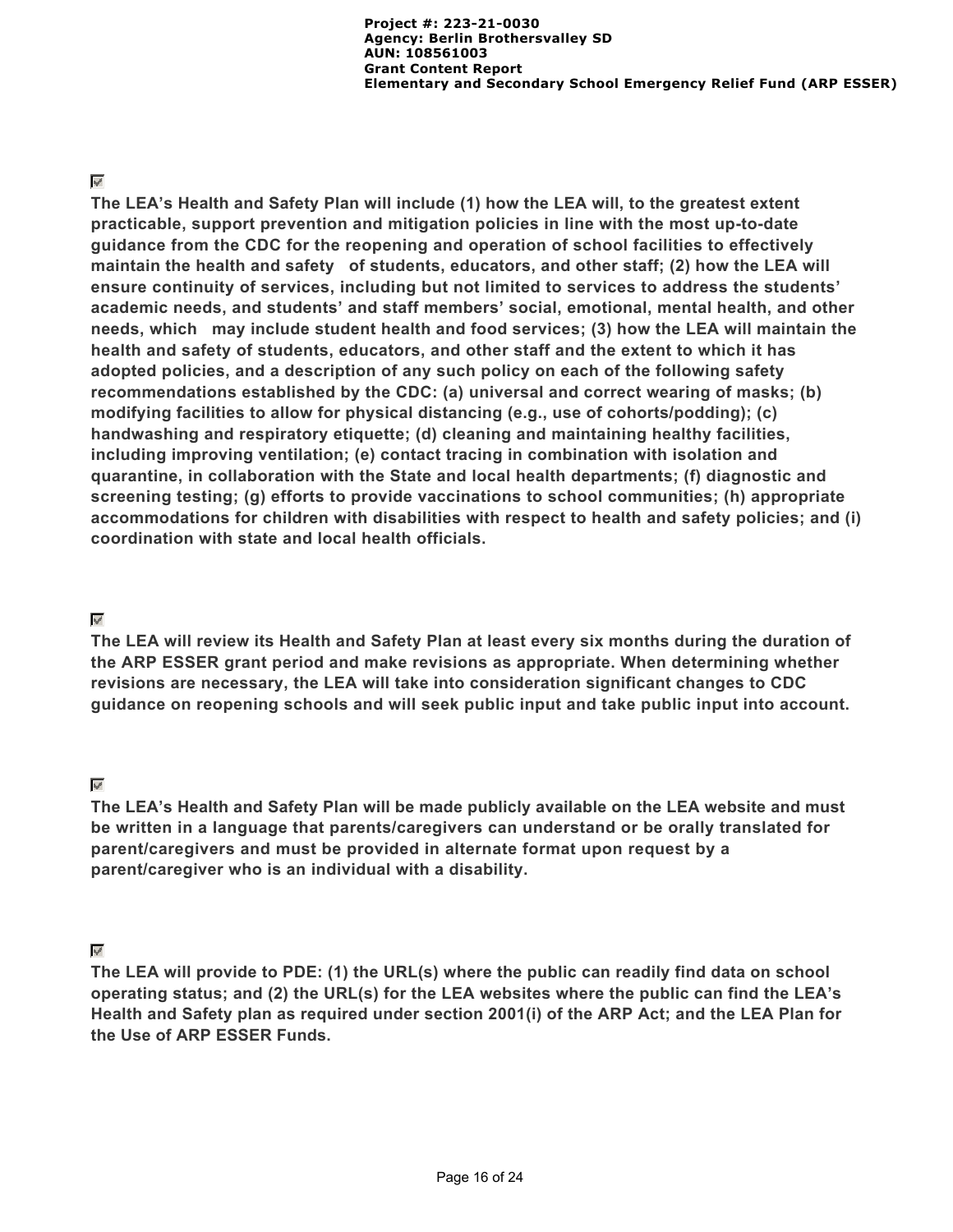#### $\overline{\mathscr{S}}$

**The LEA's Health and Safety Plan will include (1) how the LEA will, to the greatest extent practicable, support prevention and mitigation policies in line with the most up-to-date guidance from the CDC for the reopening and operation of school facilities to effectively maintain the health and safety of students, educators, and other staff; (2) how the LEA will ensure continuity of services, including but not limited to services to address the students' academic needs, and students' and staff members' social, emotional, mental health, and other needs, which may include student health and food services; (3) how the LEA will maintain the health and safety of students, educators, and other staff and the extent to which it has adopted policies, and a description of any such policy on each of the following safety recommendations established by the CDC: (a) universal and correct wearing of masks; (b) modifying facilities to allow for physical distancing (e.g., use of cohorts/podding); (c) handwashing and respiratory etiquette; (d) cleaning and maintaining healthy facilities, including improving ventilation; (e) contact tracing in combination with isolation and quarantine, in collaboration with the State and local health departments; (f) diagnostic and screening testing; (g) efforts to provide vaccinations to school communities; (h) appropriate accommodations for children with disabilities with respect to health and safety policies; and (i) coordination with state and local health officials.**

#### $\overline{\mathcal{L}}$

**The LEA will review its Health and Safety Plan at least every six months during the duration of the ARP ESSER grant period and make revisions as appropriate. When determining whether revisions are necessary, the LEA will take into consideration significant changes to CDC guidance on reopening schools and will seek public input and take public input into account.**

#### $\mathbf{u}$

**The LEA's Health and Safety Plan will be made publicly available on the LEA website and must be written in a language that parents/caregivers can understand or be orally translated for parent/caregivers and must be provided in alternate format upon request by a parent/caregiver who is an individual with a disability.**

## $\mathbf{w}^{\prime}$

**The LEA will provide to PDE: (1) the URL(s) where the public can readily find data on school operating status; and (2) the URL(s) for the LEA websites where the public can find the LEA's Health and Safety plan as required under section 2001(i) of the ARP Act; and the LEA Plan for the Use of ARP ESSER Funds.**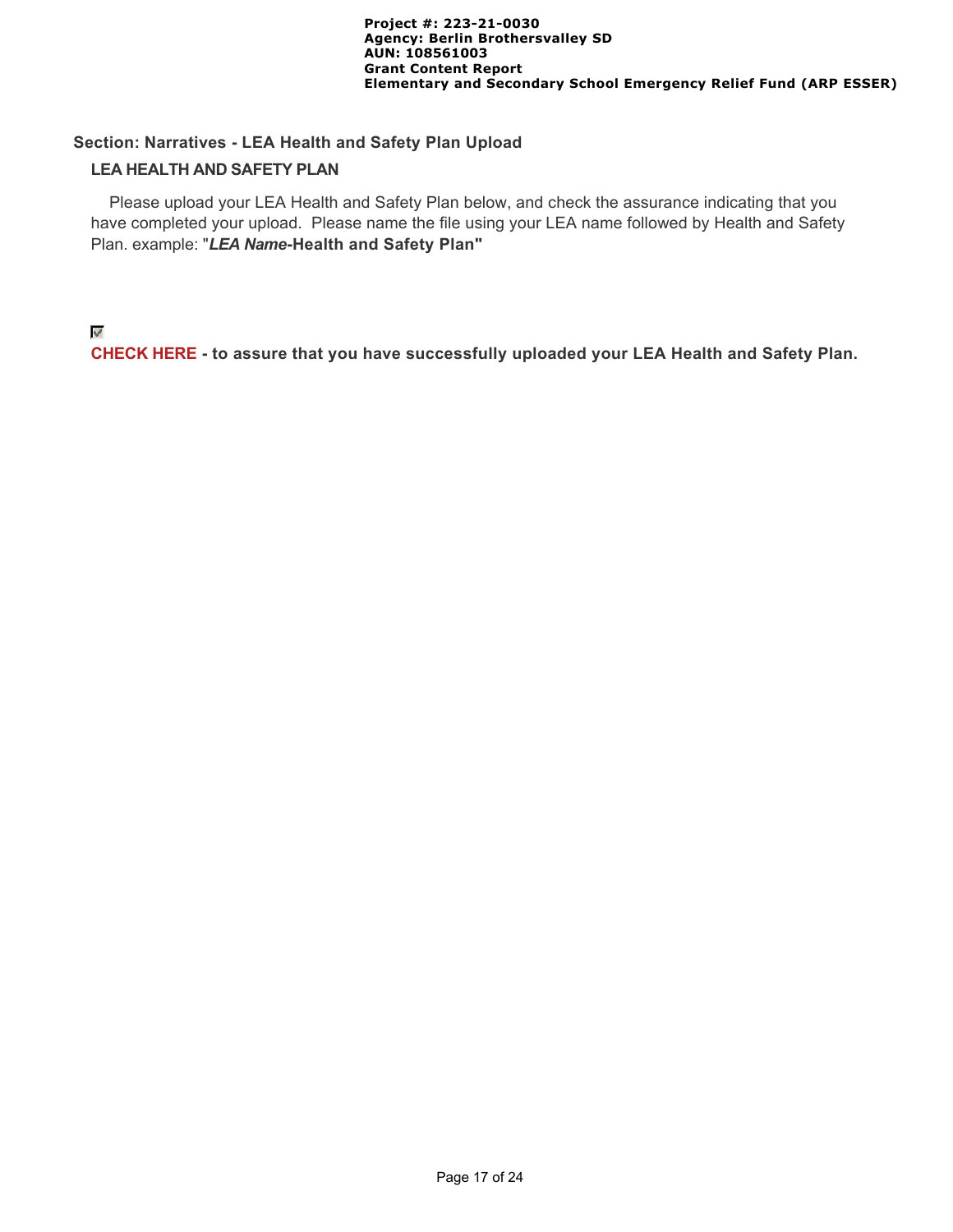# **Section: Narratives - LEA Health and Safety Plan Upload**

#### **LEA HEALTH AND SAFETY PLAN**

 Please upload your LEA Health and Safety Plan below, and check the assurance indicating that you have completed your upload. Please name the file using your LEA name followed by Health and Safety Plan. example: "*LEA Name***-Health and Safety Plan"**

#### $\psi^{\beta}$

**CHECK HERE - to assure that you have successfully uploaded your LEA Health and Safety Plan.**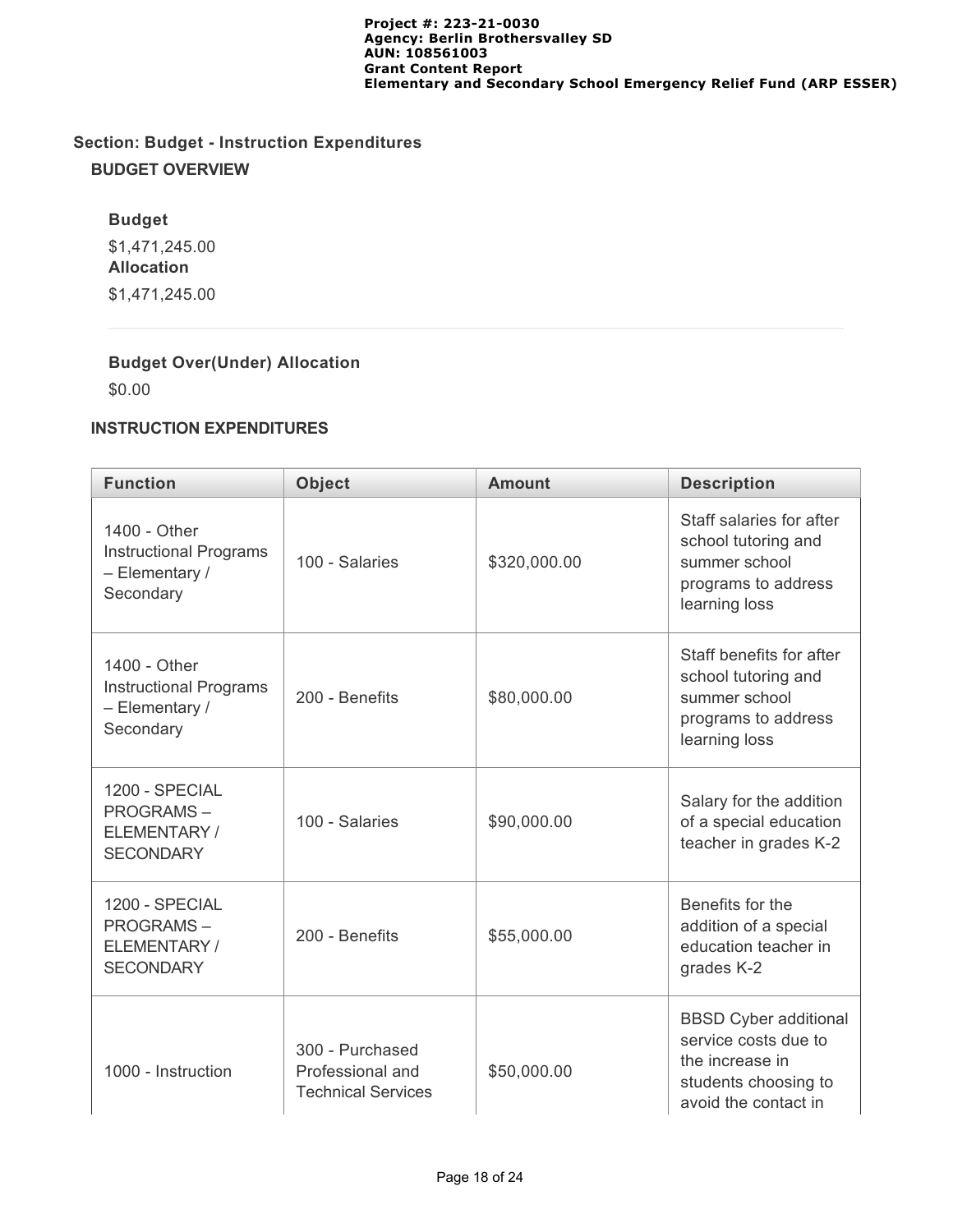# **Section: Budget - Instruction Expenditures BUDGET OVERVIEW**

# **Budget**

\$1,471,245.00 **Allocation** \$1,471,245.00

# **Budget Over(Under) Allocation**

\$0.00

# **INSTRUCTION EXPENDITURES**

| <b>Function</b>                                                              | <b>Object</b>                                                    | <b>Amount</b> | <b>Description</b>                                                                                                      |
|------------------------------------------------------------------------------|------------------------------------------------------------------|---------------|-------------------------------------------------------------------------------------------------------------------------|
| 1400 - Other<br><b>Instructional Programs</b><br>- Elementary /<br>Secondary | 100 - Salaries                                                   | \$320,000.00  | Staff salaries for after<br>school tutoring and<br>summer school<br>programs to address<br>learning loss                |
| 1400 - Other<br><b>Instructional Programs</b><br>- Elementary /<br>Secondary | 200 - Benefits                                                   | \$80,000.00   | Staff benefits for after<br>school tutoring and<br>summer school<br>programs to address<br>learning loss                |
| 1200 - SPECIAL<br><b>PROGRAMS-</b><br>ELEMENTARY /<br><b>SECONDARY</b>       | 100 - Salaries                                                   | \$90,000.00   | Salary for the addition<br>of a special education<br>teacher in grades K-2                                              |
| 1200 - SPECIAL<br><b>PROGRAMS-</b><br>ELEMENTARY/<br><b>SECONDARY</b>        | 200 - Benefits                                                   | \$55,000.00   | Benefits for the<br>addition of a special<br>education teacher in<br>grades K-2                                         |
| 1000 - Instruction                                                           | 300 - Purchased<br>Professional and<br><b>Technical Services</b> | \$50,000.00   | <b>BBSD Cyber additional</b><br>service costs due to<br>the increase in<br>students choosing to<br>avoid the contact in |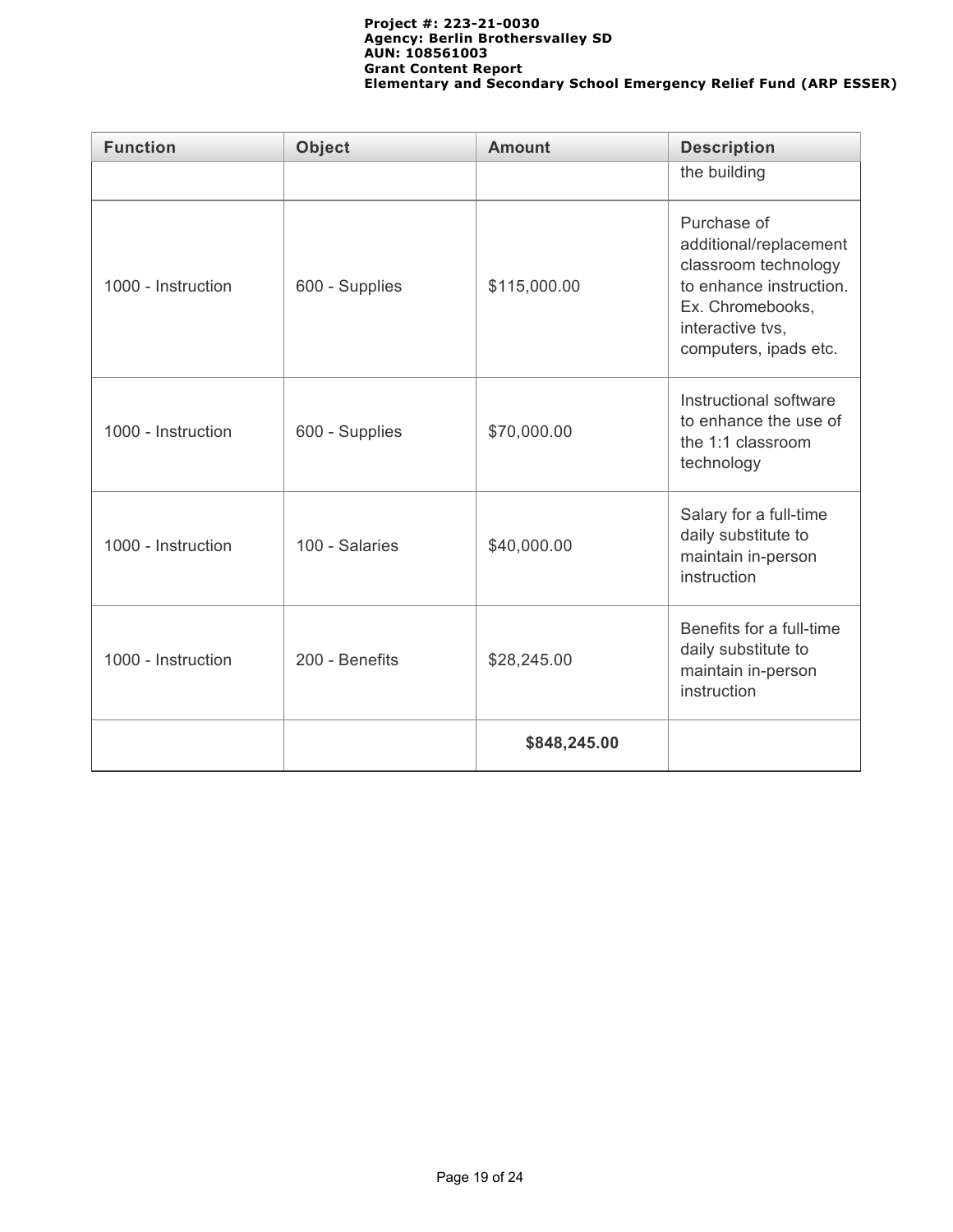| <b>Function</b>    | <b>Object</b>  | <b>Amount</b> | <b>Description</b>                                                                                                                                        |
|--------------------|----------------|---------------|-----------------------------------------------------------------------------------------------------------------------------------------------------------|
|                    |                |               | the building                                                                                                                                              |
| 1000 - Instruction | 600 - Supplies | \$115,000.00  | Purchase of<br>additional/replacement<br>classroom technology<br>to enhance instruction.<br>Ex. Chromebooks,<br>interactive tvs,<br>computers, ipads etc. |
| 1000 - Instruction | 600 - Supplies | \$70,000.00   | Instructional software<br>to enhance the use of<br>the 1:1 classroom<br>technology                                                                        |
| 1000 - Instruction | 100 - Salaries | \$40,000.00   | Salary for a full-time<br>daily substitute to<br>maintain in-person<br>instruction                                                                        |
| 1000 - Instruction | 200 - Benefits | \$28,245.00   | Benefits for a full-time<br>daily substitute to<br>maintain in-person<br>instruction                                                                      |
|                    |                | \$848,245.00  |                                                                                                                                                           |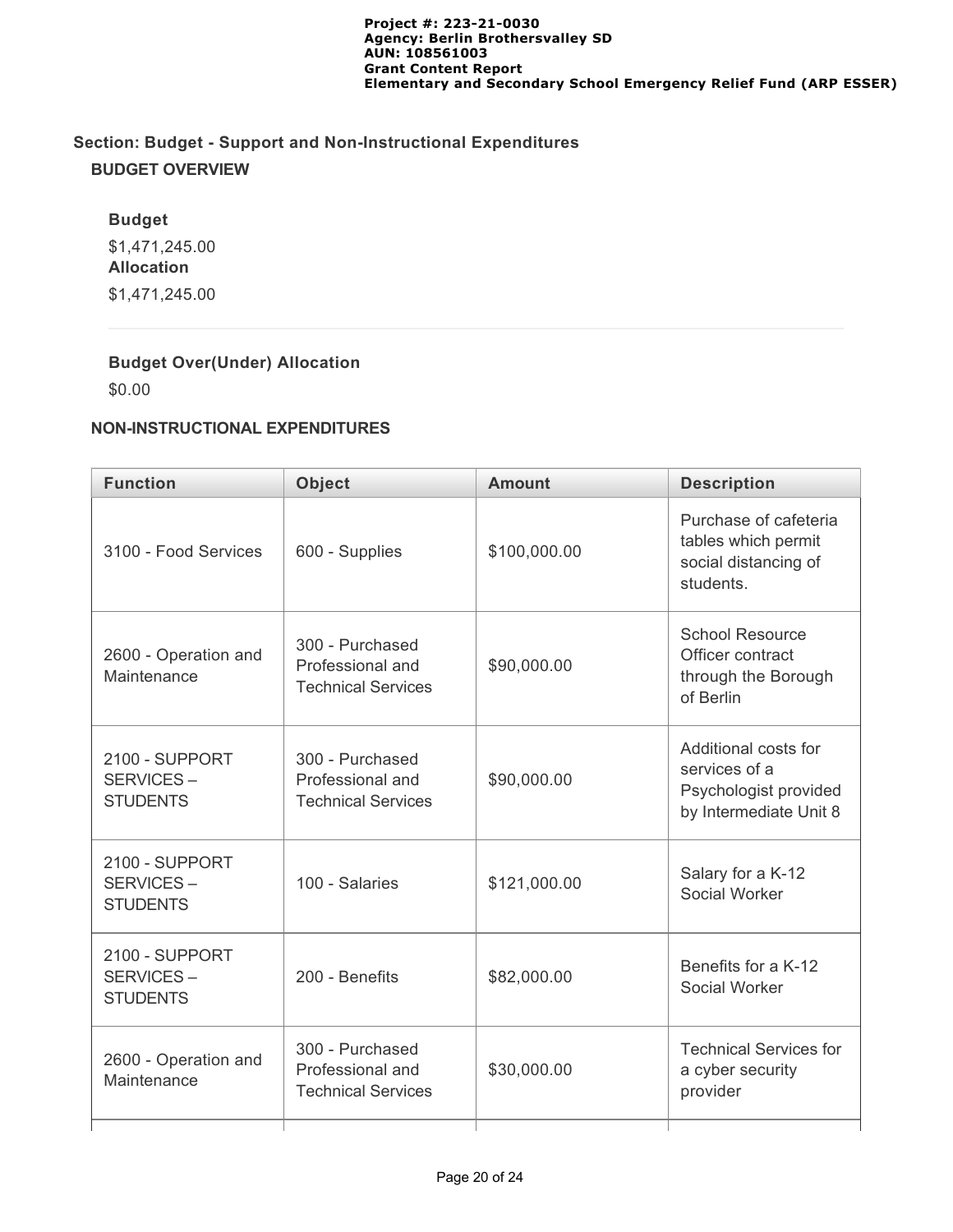# **Section: Budget - Support and Non-Instructional Expenditures BUDGET OVERVIEW**

## **Budget**

\$1,471,245.00 **Allocation** \$1,471,245.00

# **Budget Over(Under) Allocation**

\$0.00

# **NON-INSTRUCTIONAL EXPENDITURES**

| <b>Function</b>                                | <b>Object</b>                                                    | <b>Amount</b> | <b>Description</b>                                                                       |
|------------------------------------------------|------------------------------------------------------------------|---------------|------------------------------------------------------------------------------------------|
| 3100 - Food Services                           | 600 - Supplies                                                   | \$100,000.00  | Purchase of cafeteria<br>tables which permit<br>social distancing of<br>students.        |
| 2600 - Operation and<br>Maintenance            | 300 - Purchased<br>Professional and<br><b>Technical Services</b> | \$90,000.00   | <b>School Resource</b><br>Officer contract<br>through the Borough<br>of Berlin           |
| 2100 - SUPPORT<br>SERVICES-<br><b>STUDENTS</b> | 300 - Purchased<br>Professional and<br><b>Technical Services</b> | \$90,000.00   | Additional costs for<br>services of a<br>Psychologist provided<br>by Intermediate Unit 8 |
| 2100 - SUPPORT<br>SERVICES-<br><b>STUDENTS</b> | 100 - Salaries                                                   | \$121,000.00  | Salary for a K-12<br>Social Worker                                                       |
| 2100 - SUPPORT<br>SERVICES-<br><b>STUDENTS</b> | 200 - Benefits                                                   | \$82,000.00   | Benefits for a K-12<br>Social Worker                                                     |
| 2600 - Operation and<br>Maintenance            | 300 - Purchased<br>Professional and<br><b>Technical Services</b> | \$30,000.00   | <b>Technical Services for</b><br>a cyber security<br>provider                            |
|                                                |                                                                  |               |                                                                                          |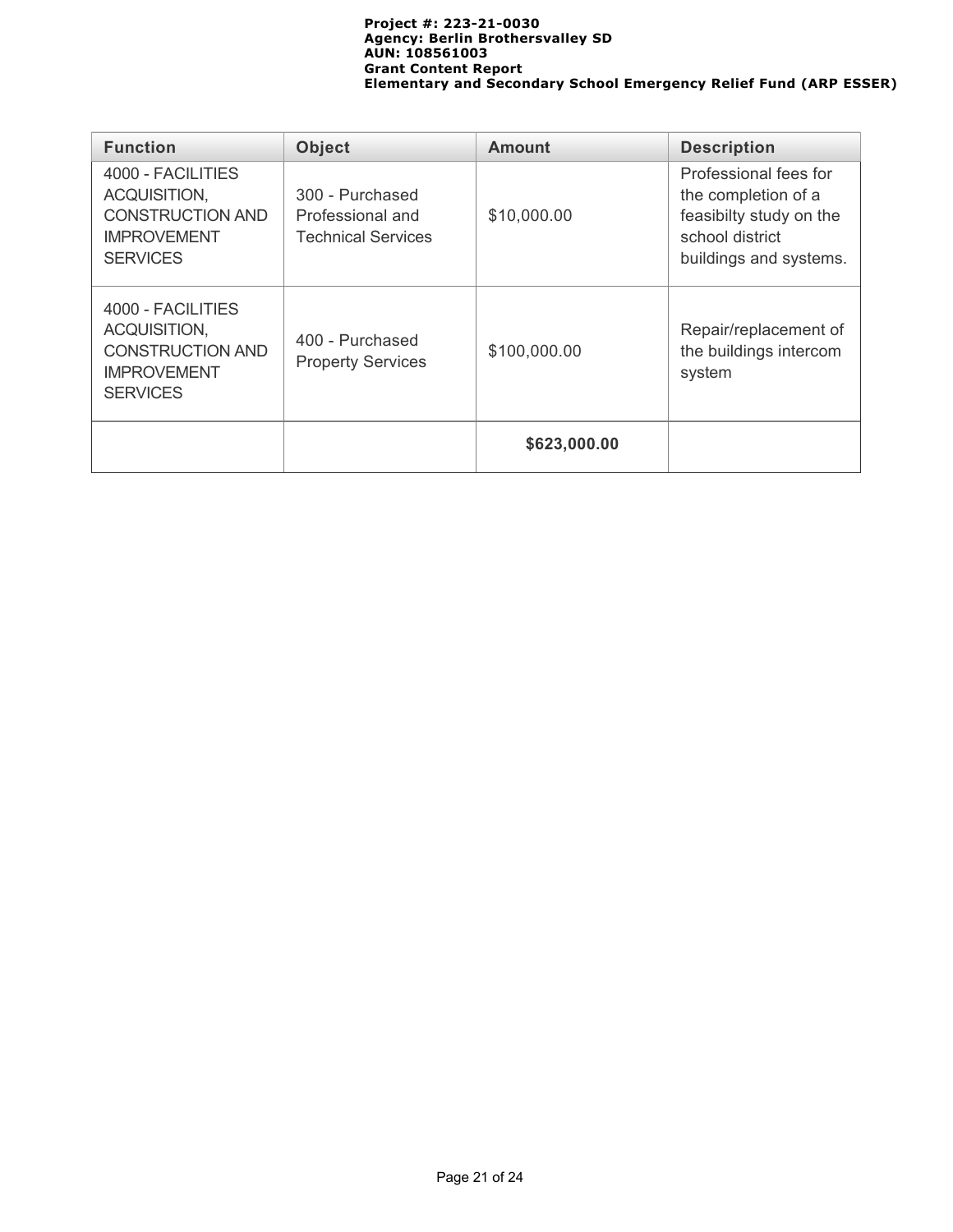| <b>Function</b>                                                                                       | <b>Object</b>                                                    | <b>Amount</b> | <b>Description</b>                                                                                                   |
|-------------------------------------------------------------------------------------------------------|------------------------------------------------------------------|---------------|----------------------------------------------------------------------------------------------------------------------|
| 4000 - FACILITIES<br>ACQUISITION,<br><b>CONSTRUCTION AND</b><br><b>IMPROVEMENT</b><br><b>SERVICES</b> | 300 - Purchased<br>Professional and<br><b>Technical Services</b> | \$10,000.00   | Professional fees for<br>the completion of a<br>feasibilty study on the<br>school district<br>buildings and systems. |
| 4000 - FACILITIES<br>ACQUISITION,<br><b>CONSTRUCTION AND</b><br><b>IMPROVEMENT</b><br><b>SERVICES</b> | 400 - Purchased<br><b>Property Services</b>                      | \$100,000.00  | Repair/replacement of<br>the buildings intercom<br>system                                                            |
|                                                                                                       |                                                                  | \$623,000.00  |                                                                                                                      |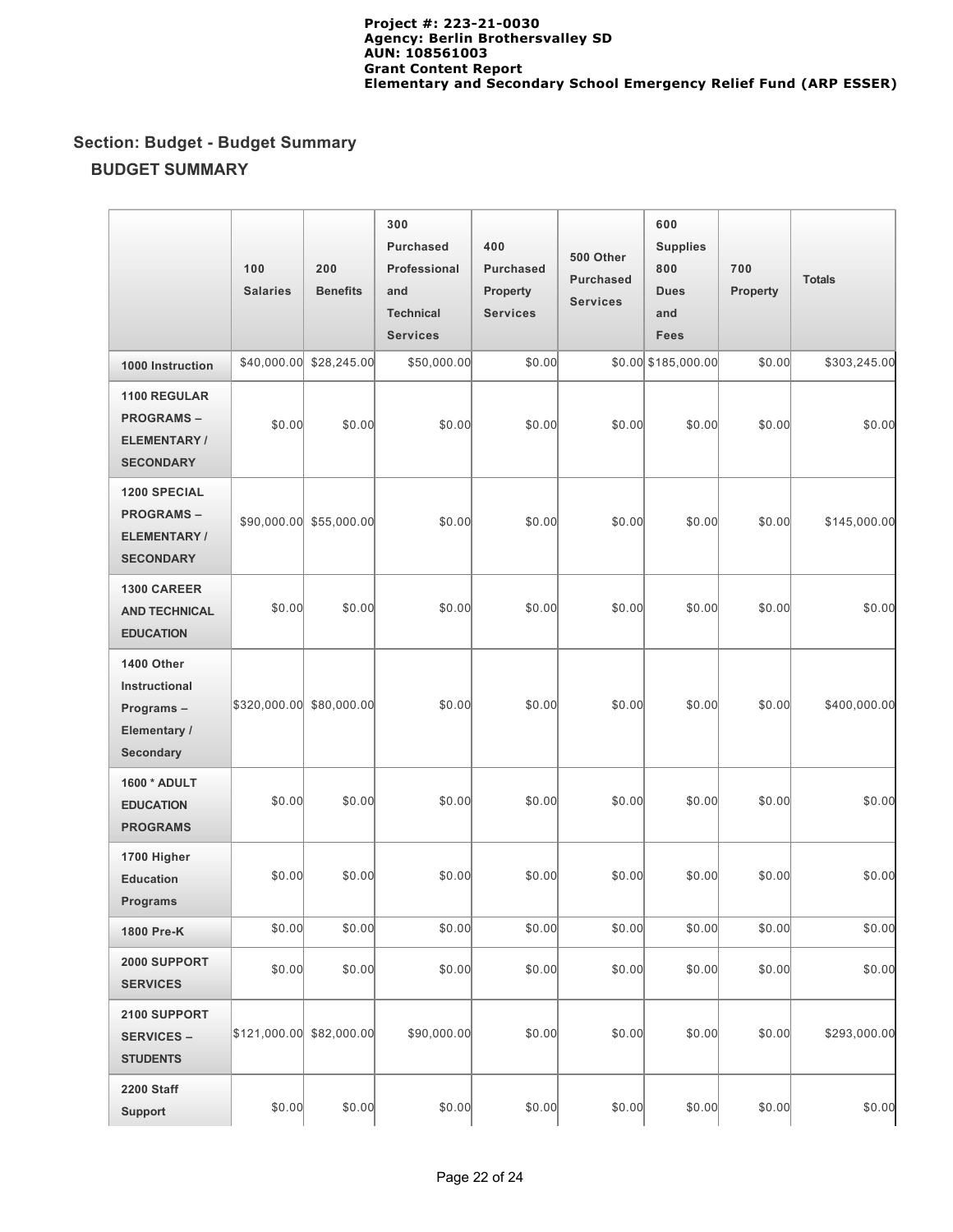# **Section: Budget - Budget Summary BUDGET SUMMARY**

|                                                                            | 100<br><b>Salaries</b>   | 200<br><b>Benefits</b>  | 300<br><b>Purchased</b><br>Professional<br>and<br><b>Technical</b><br><b>Services</b> | 400<br><b>Purchased</b><br>Property<br><b>Services</b> | 500 Other<br><b>Purchased</b><br><b>Services</b> | 600<br><b>Supplies</b><br>800<br><b>Dues</b><br>and<br>Fees | 700<br>Property | <b>Totals</b> |
|----------------------------------------------------------------------------|--------------------------|-------------------------|---------------------------------------------------------------------------------------|--------------------------------------------------------|--------------------------------------------------|-------------------------------------------------------------|-----------------|---------------|
| 1000 Instruction                                                           | \$40,000.00              | \$28,245.00             | \$50,000.00                                                                           | \$0.00                                                 |                                                  | \$0.00 \$185,000.00                                         | \$0.00          | \$303,245.00  |
| 1100 REGULAR<br><b>PROGRAMS-</b><br>ELEMENTARY/<br><b>SECONDARY</b>        | \$0.00                   | \$0.00                  | \$0.00                                                                                | \$0.00                                                 | \$0.00                                           | \$0.00                                                      | \$0.00          | \$0.00        |
| <b>1200 SPECIAL</b><br><b>PROGRAMS-</b><br>ELEMENTARY/<br><b>SECONDARY</b> |                          | \$90,000.00 \$55,000.00 | \$0.00                                                                                | \$0.00                                                 | \$0.00                                           | \$0.00                                                      | \$0.00          | \$145,000.00  |
| 1300 CAREER<br><b>AND TECHNICAL</b><br><b>EDUCATION</b>                    | \$0.00                   | \$0.00                  | \$0.00                                                                                | \$0.00                                                 | \$0.00                                           | \$0.00                                                      | \$0.00          | \$0.00        |
| 1400 Other<br>Instructional<br>Programs-<br>Elementary /<br>Secondary      | \$320,000.00 \$80,000.00 |                         | \$0.00                                                                                | \$0.00                                                 | \$0.00                                           | \$0.00                                                      | \$0.00          | \$400,000.00  |
| 1600 * ADULT<br><b>EDUCATION</b><br><b>PROGRAMS</b>                        | \$0.00                   | \$0.00                  | \$0.00                                                                                | \$0.00                                                 | \$0.00                                           | \$0.00                                                      | \$0.00          | \$0.00        |
| 1700 Higher<br><b>Education</b><br><b>Programs</b>                         | \$0.00                   | \$0.00                  | \$0.00                                                                                | \$0.00                                                 | \$0.00                                           | \$0.00                                                      | \$0.00          | \$0.00        |
| 1800 Pre-K                                                                 | \$0.00                   | \$0.00                  | \$0.00                                                                                | \$0.00                                                 | \$0.00                                           | \$0.00                                                      | \$0.00          | \$0.00        |
| 2000 SUPPORT<br><b>SERVICES</b>                                            | \$0.00                   | \$0.00                  | \$0.00                                                                                | \$0.00                                                 | \$0.00                                           | \$0.00                                                      | \$0.00          | \$0.00        |
| 2100 SUPPORT<br><b>SERVICES –</b><br><b>STUDENTS</b>                       | \$121,000.00 \$82,000.00 |                         | \$90,000.00                                                                           | \$0.00                                                 | \$0.00                                           | \$0.00                                                      | \$0.00          | \$293,000.00  |
| 2200 Staff<br><b>Support</b>                                               | \$0.00                   | \$0.00                  | \$0.00                                                                                | \$0.00                                                 | \$0.00                                           | \$0.00                                                      | \$0.00          | \$0.00        |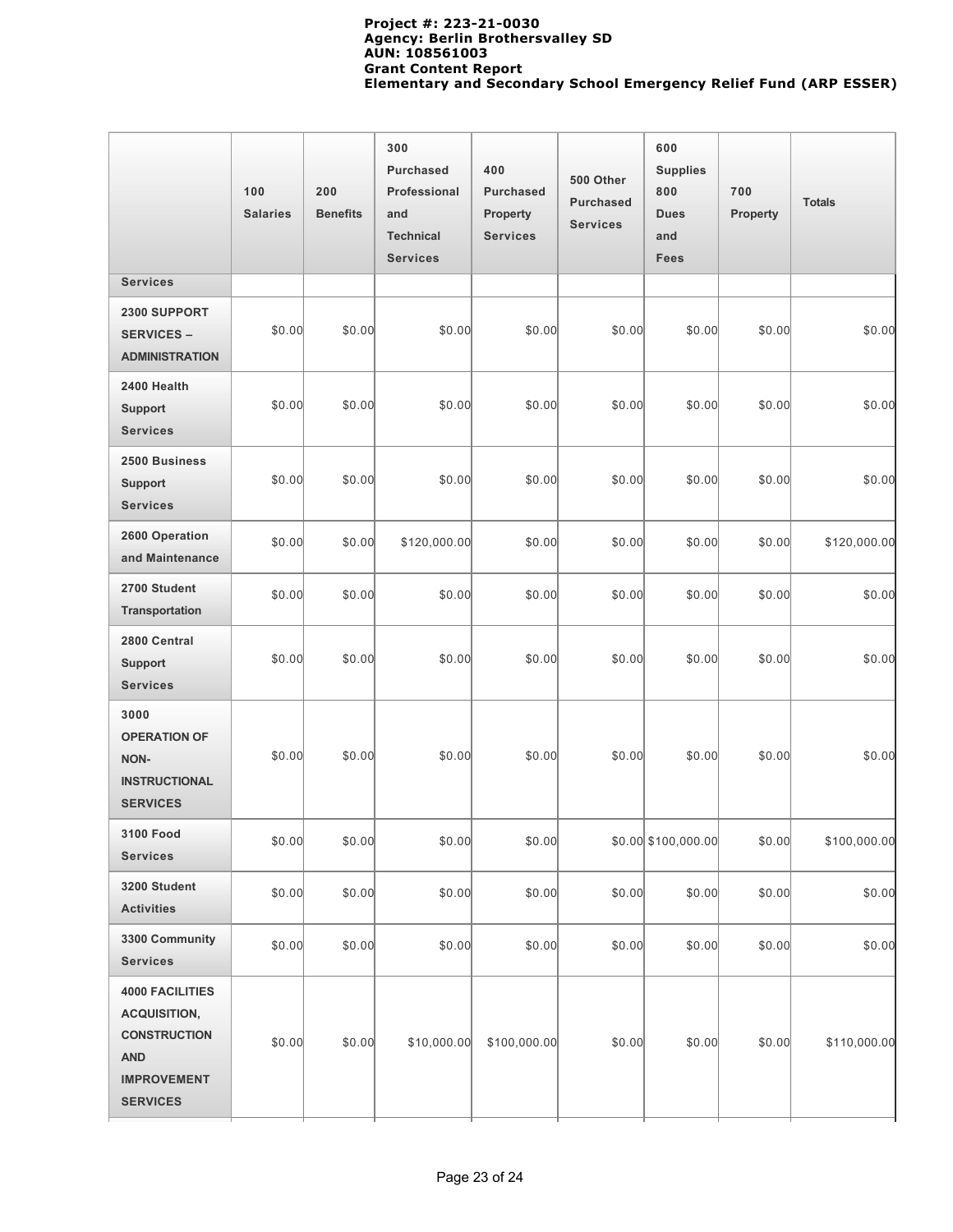|                                                                                                                             | 100<br><b>Salaries</b> | 200<br><b>Benefits</b> | 300<br><b>Purchased</b><br>Professional<br>and<br><b>Technical</b><br><b>Services</b> | 400<br><b>Purchased</b><br><b>Property</b><br><b>Services</b> | 500 Other<br><b>Purchased</b><br><b>Services</b> | 600<br><b>Supplies</b><br>800<br><b>Dues</b><br>and<br>Fees | 700<br>Property | <b>Totals</b> |
|-----------------------------------------------------------------------------------------------------------------------------|------------------------|------------------------|---------------------------------------------------------------------------------------|---------------------------------------------------------------|--------------------------------------------------|-------------------------------------------------------------|-----------------|---------------|
| <b>Services</b>                                                                                                             |                        |                        |                                                                                       |                                                               |                                                  |                                                             |                 |               |
| 2300 SUPPORT<br><b>SERVICES -</b><br><b>ADMINISTRATION</b>                                                                  | \$0.00                 | \$0.00                 | \$0.00                                                                                | \$0.00                                                        | \$0.00                                           | \$0.00                                                      | \$0.00          | \$0.00        |
| 2400 Health<br><b>Support</b><br><b>Services</b>                                                                            | \$0.00                 | \$0.00                 | \$0.00                                                                                | \$0.00                                                        | \$0.00                                           | \$0.00                                                      | \$0.00          | \$0.00        |
| 2500 Business<br><b>Support</b><br><b>Services</b>                                                                          | \$0.00                 | \$0.00                 | \$0.00                                                                                | \$0.00                                                        | \$0.00                                           | \$0.00                                                      | \$0.00          | \$0.00        |
| 2600 Operation<br>and Maintenance                                                                                           | \$0.00                 | \$0.00                 | \$120,000.00                                                                          | \$0.00                                                        | \$0.00                                           | \$0.00                                                      | \$0.00          | \$120,000.00  |
| 2700 Student<br>Transportation                                                                                              | \$0.00                 | \$0.00                 | \$0.00                                                                                | \$0.00                                                        | \$0.00                                           | \$0.00                                                      | \$0.00          | \$0.00        |
| 2800 Central<br><b>Support</b><br><b>Services</b>                                                                           | \$0.00                 | \$0.00                 | \$0.00                                                                                | \$0.00                                                        | \$0.00                                           | \$0.00                                                      | \$0.00          | \$0.00        |
| 3000<br><b>OPERATION OF</b><br>NON-<br><b>INSTRUCTIONAL</b><br><b>SERVICES</b>                                              | \$0.00                 | \$0.00                 | \$0.00                                                                                | \$0.00                                                        | \$0.00                                           | \$0.00                                                      | \$0.00          | \$0.00        |
| 3100 Food<br><b>Services</b>                                                                                                | \$0.00                 | \$0.00                 | \$0.00                                                                                | \$0.00                                                        |                                                  | $$0.00$ $$100,000.00$                                       | \$0.00          | \$100,000.00  |
| 3200 Student<br><b>Activities</b>                                                                                           | \$0.00                 | \$0.00                 | \$0.00                                                                                | \$0.00                                                        | \$0.00                                           | \$0.00                                                      | \$0.00          | \$0.00        |
| 3300 Community<br><b>Services</b>                                                                                           | \$0.00                 | \$0.00                 | \$0.00                                                                                | \$0.00                                                        | \$0.00                                           | \$0.00                                                      | \$0.00          | \$0.00        |
| <b>4000 FACILITIES</b><br><b>ACQUISITION,</b><br><b>CONSTRUCTION</b><br><b>AND</b><br><b>IMPROVEMENT</b><br><b>SERVICES</b> | \$0.00                 | \$0.00                 | \$10,000.00                                                                           | \$100,000.00                                                  | \$0.00                                           | \$0.00                                                      | \$0.00          | \$110,000.00  |